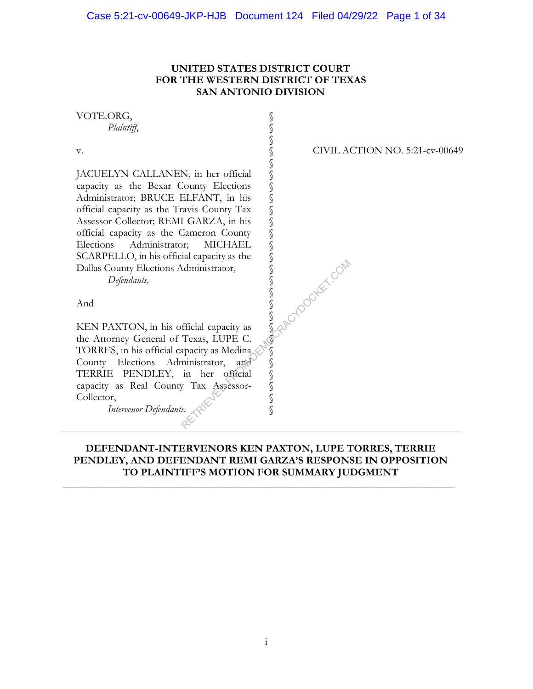## **UNITED STATES DISTRICT COURT FOR THE WESTERN DISTRICT OF TEXAS SAN ANTONIO DIVISION**

| VOTE.ORG,                                     |                                       |
|-----------------------------------------------|---------------------------------------|
| Plaintiff,                                    |                                       |
|                                               |                                       |
| V.                                            | <b>CIVIL ACTION NO. 5:21-cv-00649</b> |
|                                               | S                                     |
| JACUELYN CALLANEN, in her official            |                                       |
| capacity as the Bexar County Elections        |                                       |
| Administrator; BRUCE ELFANT, in his           |                                       |
| official capacity as the Travis County Tax    |                                       |
| Assessor-Collector; REMI GARZA, in his        |                                       |
| official capacity as the Cameron County       |                                       |
| Elections<br>Administrator;<br><b>MICHAEL</b> |                                       |
| SCARPELLO, in his official capacity as the    |                                       |
| Dallas County Elections Administrator,        |                                       |
| Defendants,                                   | A Revisorités com                     |
|                                               |                                       |
| And                                           |                                       |
|                                               |                                       |
| KEN PAXTON, in his official capacity as       |                                       |
| the Attorney General of Texas, LUPE C.        |                                       |
| TORRES, in his official capacity as Medina    |                                       |
| County Elections<br>Administrator,<br>and     |                                       |
| PENDLEY, in her official<br>TERRIE            |                                       |
| capacity as Real County Tax Assessor-         | S                                     |
| Collector,                                    | S                                     |
| Intervenor-Defendants.                        |                                       |
|                                               |                                       |

## **DEFENDANT-INTERVENORS KEN PAXTON, LUPE TORRES, TERRIE PENDLEY, AND DEFENDANT REMI GARZA'S RESPONSE IN OPPOSITION TO PLAINTIFF'S MOTION FOR SUMMARY JUDGMENT**

**\_\_\_\_\_\_\_\_\_\_\_\_\_\_\_\_\_\_\_\_\_\_\_\_\_\_\_\_\_\_\_\_\_\_\_\_\_\_\_\_\_\_\_\_\_\_\_\_\_\_\_\_\_\_\_\_\_\_\_\_\_\_\_\_\_\_\_\_\_\_\_\_\_\_\_**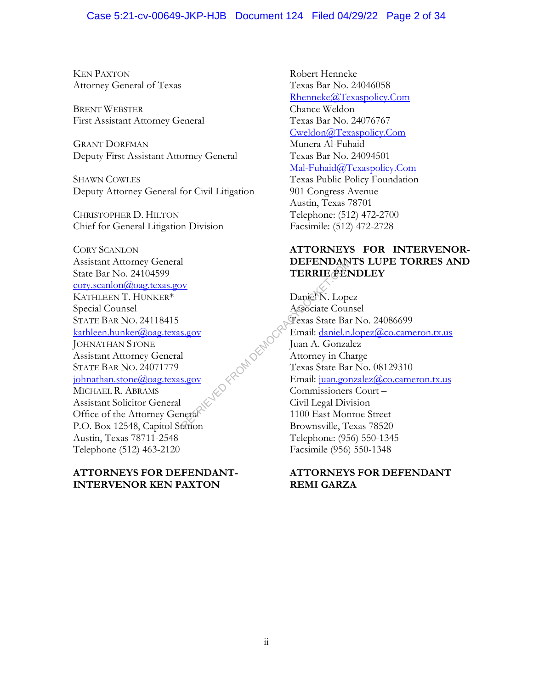## Case 5:21-cv-00649-JKP-HJB Document 124 Filed 04/29/22 Page 2 of 34

KEN PAXTON Attorney General of Texas

BRENT WEBSTER First Assistant Attorney General

GRANT DORFMAN Deputy First Assistant Attorney General

SHAWN COWLES Deputy Attorney General for Civil Litigation

CHRISTOPHER D. HILTON Chief for General Litigation Division

CORY SCANLON Assistant Attorney General State Bar No. 24104599 cory.scanlon@oag.texas.gov KATHLEEN T. HUNKER\* Special Counsel STATE BAR NO. 24118415 kathleen.hunker@oag.texas.gov JOHNATHAN STONE Assistant Attorney General STATE BAR NO. 24071779 johnathan.stone@oag.texas.gov MICHAEL R. ABRAMS Assistant Solicitor General Office of the Attorney General P.O. Box 12548, Capitol Station Austin, Texas 78711-2548 Telephone (512) 463-2120

## **ATTORNEYS FOR DEFENDANT-INTERVENOR KEN PAXTON**

Robert Henneke Texas Bar No. 24046058 Rhenneke@Texaspolicy.Com Chance Weldon Texas Bar No. 24076767 Cweldon@Texaspolicy.Com Munera Al-Fuhaid Texas Bar No. 24094501 Mal-Fuhaid@Texaspolicy.Com Texas Public Policy Foundation 901 Congress Avenue Austin, Texas 78701 Telephone: (512) 472-2700 Facsimile: (512) 472-2728

## **ATTORNEYS FOR INTERVENOR-DEFENDANTS LUPE TORRES AND TERRIE PENDLEY**

Daniel N. Lopez Associate Counsel Texas State Bar No. 24086699 Email: daniel.n.lopez@co.cameron.tx.us Juan A. Gonzalez Attorney in Charge Texas State Bar No. 08129310 Email: juan.gonzalez@co.cameron.tx.us Commissioners Court – Civil Legal Division 1100 East Monroe Street Brownsville, Texas 78520 Telephone: (956) 550-1345 Facsimile (956) 550-1348 TERRIE ALD<br>
TERRIE ALD<br>
Daniel N. Lope<br>
Associate Cour<br>
State Band Juan A. Gonzal<br>
1<br>
State Band: Juan A. Gonzal<br>
Attorney in Ch<br>
Texas State Band<br>
Email: <u>juan gor</u><br>
Commissioners<br>
Civil Legal Div.<br>
Texas State Band: 2017

## **ATTORNEYS FOR DEFENDANT REMI GARZA**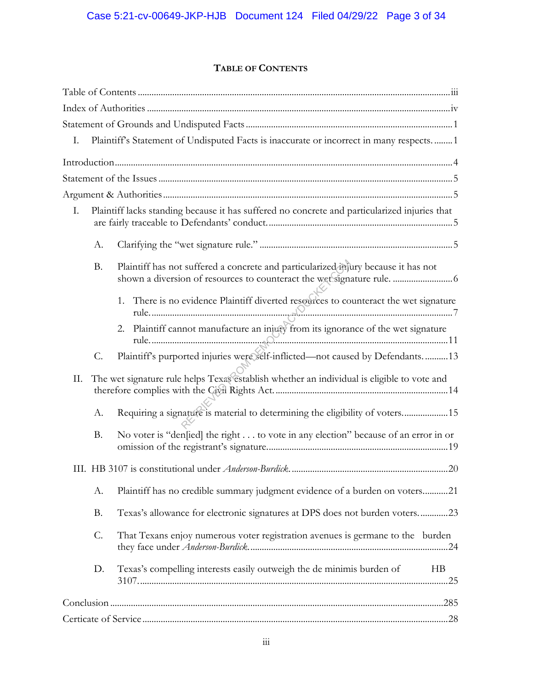## **TABLE OF CONTENTS**

| Plaintiff's Statement of Undisputed Facts is inaccurate or incorrect in many respects 1<br>Ι.       |
|-----------------------------------------------------------------------------------------------------|
|                                                                                                     |
|                                                                                                     |
|                                                                                                     |
| Plaintiff lacks standing because it has suffered no concrete and particularized injuries that<br>Ι. |
| А.                                                                                                  |
| Plaintiff has not suffered a concrete and particularized injury because it has not<br><b>B.</b>     |
| 1. There is no evidence Plaintiff diverted resources to counteract the wet signature                |
| 2. Plaintiff cannot manufacture an injury from its ignorance of the wet signature                   |
| Plaintiff's purported injuries were self-inflicted-not caused by Defendants13<br>$C$ .              |
| The wet signature rule helps Texas establish whether an individual is eligible to vote and<br>П.    |
| Requiring a signature is material to determining the eligibility of voters15<br>А.                  |
| No voter is "den[ied] the right to vote in any election" because of an error in or<br><b>B.</b>     |
|                                                                                                     |
| Plaintiff has no credible summary judgment evidence of a burden on voters21<br>А.                   |
| Texas's allowance for electronic signatures at DPS does not burden voters23<br><b>B.</b>            |
| $\mathcal{C}$ .<br>That Texans enjoy numerous voter registration avenues is germane to the burden   |
| Texas's compelling interests easily outweigh the de minimis burden of<br>D.<br>HB                   |
|                                                                                                     |
|                                                                                                     |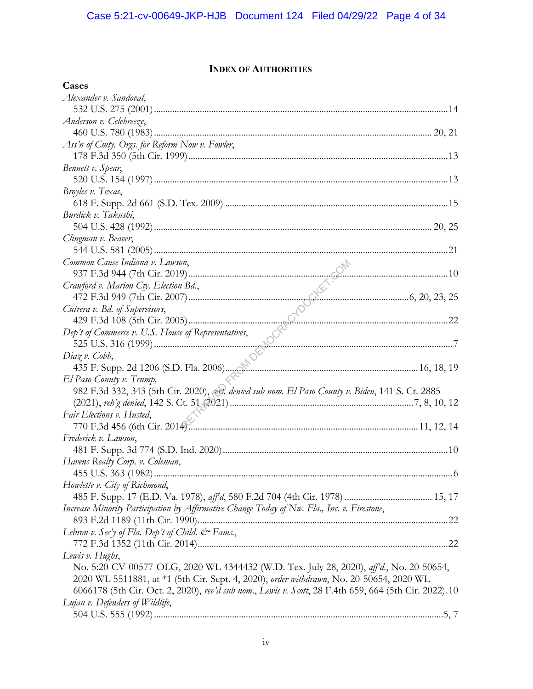## **INDEX OF AUTHORITIES**

| Cases                                                                                                 |  |
|-------------------------------------------------------------------------------------------------------|--|
| Alexander v. Sandoval,                                                                                |  |
|                                                                                                       |  |
| Anderson v. Celebreeze,                                                                               |  |
|                                                                                                       |  |
| Ass'n of Cmty. Orgs. for Reform Now v. Fowler,                                                        |  |
|                                                                                                       |  |
| Bennett v. Spear,                                                                                     |  |
|                                                                                                       |  |
| Broyles v. Texas,                                                                                     |  |
|                                                                                                       |  |
| Burdick v. Takushi,                                                                                   |  |
|                                                                                                       |  |
| Clingman v. Beaver,                                                                                   |  |
|                                                                                                       |  |
|                                                                                                       |  |
|                                                                                                       |  |
|                                                                                                       |  |
|                                                                                                       |  |
|                                                                                                       |  |
|                                                                                                       |  |
|                                                                                                       |  |
|                                                                                                       |  |
|                                                                                                       |  |
|                                                                                                       |  |
| El Paso County v. Trump,                                                                              |  |
| 982 F.3d 332, 343 (5th Cir. 2020), eert. denied sub nom. El Paso County v. Biden, 141 S. Ct. 2885     |  |
|                                                                                                       |  |
| Fair Elections v. Husted,                                                                             |  |
|                                                                                                       |  |
| Frederick v. Lawson,                                                                                  |  |
|                                                                                                       |  |
| Havens Realty Corp. v. Coleman,                                                                       |  |
|                                                                                                       |  |
| Howlette v. City of Richmond,                                                                         |  |
|                                                                                                       |  |
| Increase Minority Participation by Affirmative Change Today of Nw. Fla., Inc. v. Firestone,           |  |
|                                                                                                       |  |
| Lebron v. Sec'y of Fla. Dep't of Child. & Fams.,                                                      |  |
|                                                                                                       |  |
| Lewis v. Hughs,                                                                                       |  |
| No. 5:20-CV-00577-OLG, 2020 WL 4344432 (W.D. Tex. July 28, 2020), aff'd., No. 20-50654,               |  |
| 2020 WL 5511881, at *1 (5th Cir. Sept. 4, 2020), order withdrawn, No. 20-50654, 2020 WL               |  |
| 6066178 (5th Cir. Oct. 2, 2020), rev'd sub nom., Lewis v. Scott, 28 F.4th 659, 664 (5th Cir. 2022).10 |  |
| Lujan v. Defenders of Wildlife,                                                                       |  |
|                                                                                                       |  |
|                                                                                                       |  |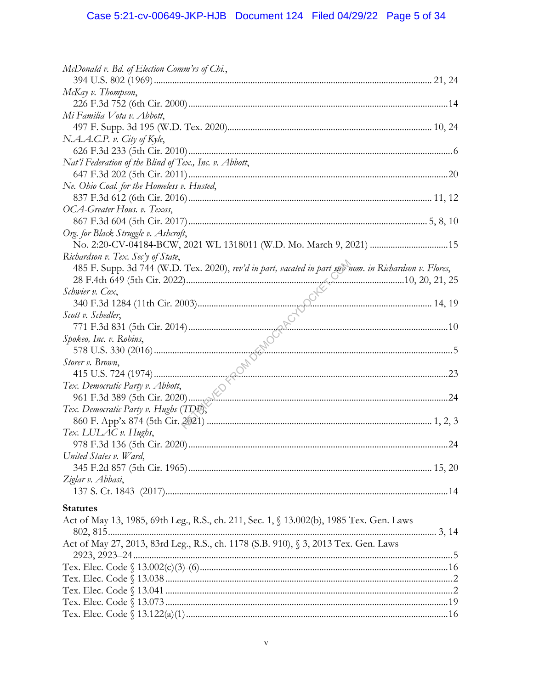# Case 5:21-cv-00649-JKP-HJB Document 124 Filed 04/29/22 Page 5 of 34

| McDonald v. Bd. of Election Comm'rs of Chi.,                                                           |  |
|--------------------------------------------------------------------------------------------------------|--|
|                                                                                                        |  |
| McKay v. Thompson,                                                                                     |  |
|                                                                                                        |  |
| Mi Familia Vota v. Abbott,                                                                             |  |
|                                                                                                        |  |
| N.A.A.C.P. v. City of Kyle,                                                                            |  |
|                                                                                                        |  |
| Nat'l Federation of the Blind of Tex., Inc. v. Abbott,                                                 |  |
|                                                                                                        |  |
| Ne. Ohio Coal. for the Homeless v. Husted,                                                             |  |
|                                                                                                        |  |
| OCA-Greater Hous. v. Texas,                                                                            |  |
|                                                                                                        |  |
| Org. for Black Struggle v. Ashcroft,                                                                   |  |
| No. 2:20-CV-04184-BCW, 2021 WL 1318011 (W.D. Mo. March 9, 2021)  15                                    |  |
| Richardson v. Tex. Sec'y of State,                                                                     |  |
| 485 F. Supp. 3d 744 (W.D. Tex. 2020), rev'd in part, vacated in part sab nom. in Richardson v. Flores, |  |
|                                                                                                        |  |
| Schwier v. Cox,                                                                                        |  |
|                                                                                                        |  |
| Scott v. Schedler,                                                                                     |  |
|                                                                                                        |  |
| Spokeo, Inc. v. Robins,                                                                                |  |
|                                                                                                        |  |
| Storer v. Brown,                                                                                       |  |
|                                                                                                        |  |
| Tex. Democratic Party v. Abbott,                                                                       |  |
|                                                                                                        |  |
| Tex. Democratic Party v. Hughs (TDP),                                                                  |  |
|                                                                                                        |  |
| Tex. LULAC v. Hughs,                                                                                   |  |
|                                                                                                        |  |
| United States v. Ward,                                                                                 |  |
|                                                                                                        |  |
| Ziglar v. Abbasi,                                                                                      |  |
|                                                                                                        |  |
|                                                                                                        |  |
| <b>Statutes</b>                                                                                        |  |
| Act of May 13, 1985, 69th Leg., R.S., ch. 211, Sec. 1, § 13.002(b), 1985 Tex. Gen. Laws                |  |
|                                                                                                        |  |
| Act of May 27, 2013, 83rd Leg., R.S., ch. 1178 (S.B. 910), § 3, 2013 Tex. Gen. Laws                    |  |
|                                                                                                        |  |
|                                                                                                        |  |
|                                                                                                        |  |
|                                                                                                        |  |
|                                                                                                        |  |
|                                                                                                        |  |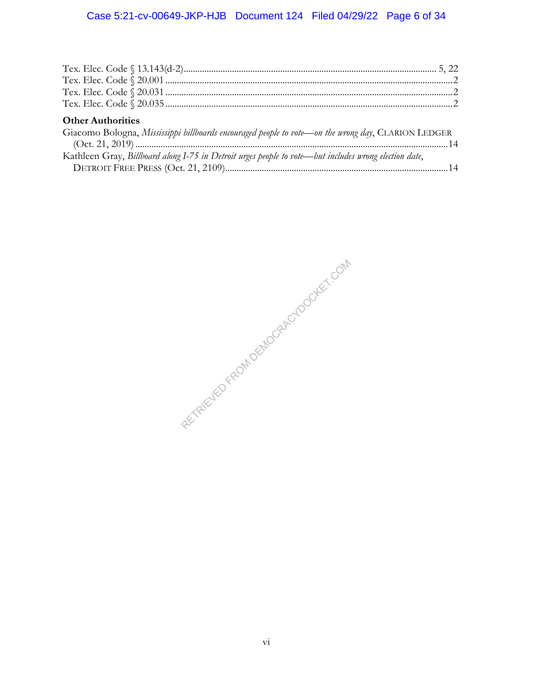## Case 5:21-cv-00649-JKP-HJB Document 124 Filed 04/29/22 Page 6 of 34

| <b>Other Authorities</b>                                                                              |  |
|-------------------------------------------------------------------------------------------------------|--|
| Giacomo Bologna, Mississippi billboards encouraged people to vote—on the wrong day, CLARION LEDGER    |  |
|                                                                                                       |  |
| Kathleen Gray, Billboard along I-75 in Detroit urges people to vote-but includes wrong election date, |  |
|                                                                                                       |  |

RETRIEVED FROM DEMOCRACYDOCKET.COM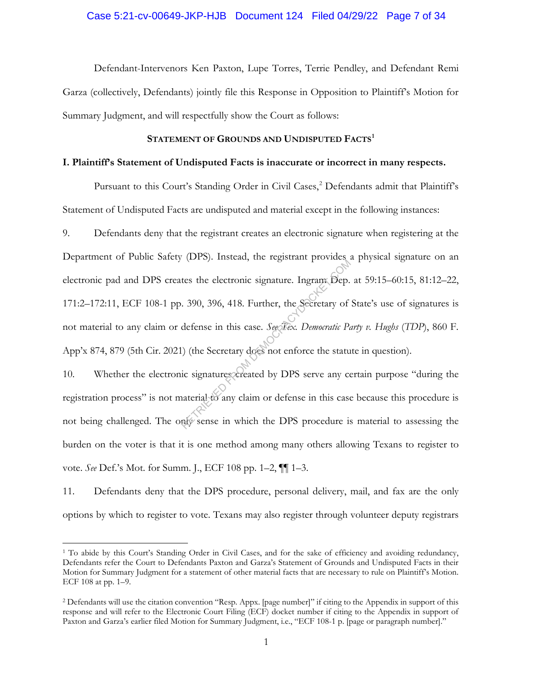#### Case 5:21-cv-00649-JKP-HJB Document 124 Filed 04/29/22 Page 7 of 34

Defendant-Intervenors Ken Paxton, Lupe Torres, Terrie Pendley, and Defendant Remi Garza (collectively, Defendants) jointly file this Response in Opposition to Plaintiff's Motion for Summary Judgment, and will respectfully show the Court as follows:

## STATEMENT OF GROUNDS AND UNDISPUTED FACTS<sup>1</sup>

#### **I. Plaintiff's Statement of Undisputed Facts is inaccurate or incorrect in many respects.**

Pursuant to this Court's Standing Order in Civil Cases,<sup>2</sup> Defendants admit that Plaintiff's Statement of Undisputed Facts are undisputed and material except in the following instances:

9. Defendants deny that the registrant creates an electronic signature when registering at the Department of Public Safety (DPS). Instead, the registrant provides a physical signature on an electronic pad and DPS creates the electronic signature. Ingram Dep. at 59:15–60:15, 81:12–22, 171:2–172:11, ECF 108-1 pp. 390, 396, 418. Further, the Secretary of State's use of signatures is not material to any claim or defense in this case. *See Tex. Democratic Party v. Hughs* (*TDP*), 860 F. App'x 874, 879 (5th Cir. 2021) (the Secretary does not enforce the statute in question). The electronic signature. Ingram Dep.<br>
1990, 390, 396, 418. Further, the Secretary of<br>
defense in this case. *See Flex. Democratic Pa*<br>
(the Secretary does not enforce the statu<br>
ic signatures created by DPS serve any cont

10. Whether the electronic signatures created by DPS serve any certain purpose "during the registration process" is not material to any claim or defense in this case because this procedure is not being challenged. The only sense in which the DPS procedure is material to assessing the burden on the voter is that it is one method among many others allowing Texans to register to vote. *See* Def.'s Mot. for Summ. J., ECF 108 pp. 1–2, ¶¶ 1–3.

11. Defendants deny that the DPS procedure, personal delivery, mail, and fax are the only options by which to register to vote. Texans may also register through volunteer deputy registrars

<sup>1</sup> To abide by this Court's Standing Order in Civil Cases, and for the sake of efficiency and avoiding redundancy, Defendants refer the Court to Defendants Paxton and Garza's Statement of Grounds and Undisputed Facts in their Motion for Summary Judgment for a statement of other material facts that are necessary to rule on Plaintiff's Motion. ECF 108 at pp. 1–9.

<sup>2</sup> Defendants will use the citation convention "Resp. Appx. [page number]" if citing to the Appendix in support of this response and will refer to the Electronic Court Filing (ECF) docket number if citing to the Appendix in support of Paxton and Garza's earlier filed Motion for Summary Judgment, i.e., "ECF 108-1 p. [page or paragraph number]."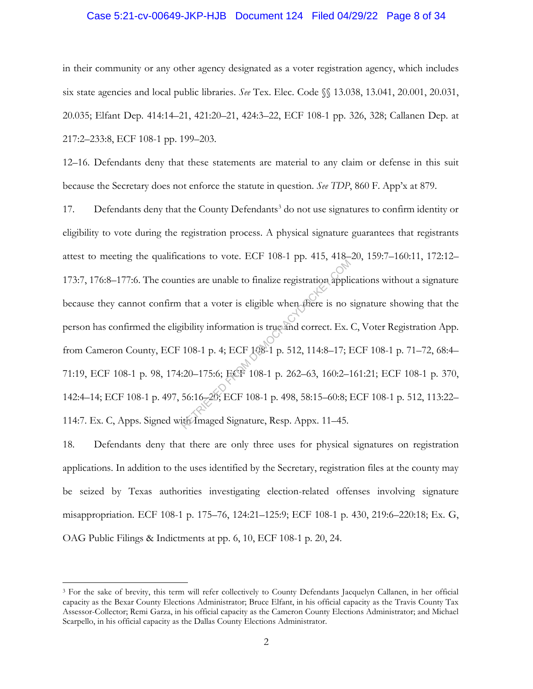#### Case 5:21-cv-00649-JKP-HJB Document 124 Filed 04/29/22 Page 8 of 34

in their community or any other agency designated as a voter registration agency, which includes six state agencies and local public libraries. *See* Tex. Elec. Code §§ 13.038, 13.041, 20.001, 20.031, 20.035; Elfant Dep. 414:14–21, 421:20–21, 424:3–22, ECF 108-1 pp. 326, 328; Callanen Dep. at 217:2–233:8, ECF 108-1 pp. 199–203.

12–16. Defendants deny that these statements are material to any claim or defense in this suit because the Secretary does not enforce the statute in question. *See TDP*, 860 F. App'x at 879.

17. Defendants deny that the County Defendants<sup>3</sup> do not use signatures to confirm identity or eligibility to vote during the registration process. A physical signature guarantees that registrants attest to meeting the qualifications to vote. ECF 108-1 pp. 415, 418–20, 159:7–160:11, 172:12– 173:7, 176:8–177:6. The counties are unable to finalize registration applications without a signature because they cannot confirm that a voter is eligible when there is no signature showing that the person has confirmed the eligibility information is true and correct. Ex. C, Voter Registration App. from Cameron County, ECF 108-1 p. 4; ECF 108-1 p. 512, 114:8–17; ECF 108-1 p. 71–72, 68:4– 71:19, ECF 108-1 p. 98, 174:20-175:6; ECF 108-1 p. 262-63, 160:2-161:21; ECF 108-1 p. 370, 142:4–14; ECF 108-1 p. 497, 56:16–20; ECF 108-1 p. 498, 58:15–60:8; ECF 108-1 p. 512, 113:22– 114:7. Ex. C, Apps. Signed with Imaged Signature, Resp. Appx. 11–45. ties are unable to finalize registration appli<br>that a voter is eligible when there is no s<br>ibility information is true and correct. Ex.<br>108-1 p. 4; ECF 108-1 p. 512, 114:8-17; I<br>:20-175:6; ECF 108-1 p. 262-63, 160:2-1<br>56:

18. Defendants deny that there are only three uses for physical signatures on registration applications. In addition to the uses identified by the Secretary, registration files at the county may be seized by Texas authorities investigating election-related offenses involving signature misappropriation. ECF 108-1 p. 175–76, 124:21–125:9; ECF 108-1 p. 430, 219:6–220:18; Ex. G, OAG Public Filings & Indictments at pp. 6, 10, ECF 108-1 p. 20, 24.

<sup>&</sup>lt;sup>3</sup> For the sake of brevity, this term will refer collectively to County Defendants Jacquelyn Callanen, in her official capacity as the Bexar County Elections Administrator; Bruce Elfant, in his official capacity as the Travis County Tax Assessor-Collector; Remi Garza, in his official capacity as the Cameron County Elections Administrator; and Michael Scarpello, in his official capacity as the Dallas County Elections Administrator.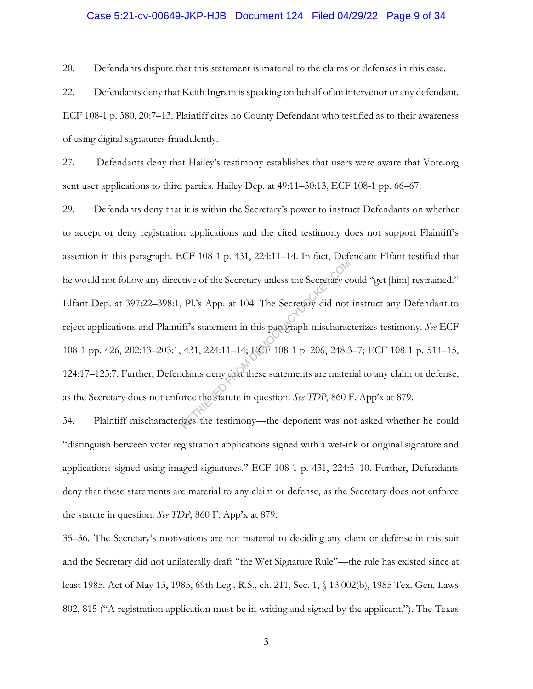#### Case 5:21-cv-00649-JKP-HJB Document 124 Filed 04/29/22 Page 9 of 34

20. Defendants dispute that this statement is material to the claims or defenses in this case.

22. Defendants deny that Keith Ingram is speaking on behalf of an intervenor or any defendant. ECF 108-1 p. 380, 20:7–13. Plaintiff cites no County Defendant who testified as to their awareness of using digital signatures fraudulently.

27. Defendants deny that Hailey's testimony establishes that users were aware that Vote.org sent user applications to third parties. Hailey Dep. at 49:11–50:13, ECF 108-1 pp. 66–67.

29. Defendants deny that it is within the Secretary's power to instruct Defendants on whether to accept or deny registration applications and the cited testimony does not support Plaintiff's assertion in this paragraph. ECF 108-1 p. 431, 224:11–14. In fact, Defendant Elfant testified that he would not follow any directive of the Secretary unless the Secretary could "get [him] restrained." Elfant Dep. at 397:22–398:1, Pl.'s App. at 104. The Secretary did not instruct any Defendant to reject applications and Plaintiff's statement in this paragraph mischaracterizes testimony. *See* ECF 108-1 pp. 426, 202:13–203:1, 431, 224:11–14; ECF 108-1 p. 206, 248:3–7; ECF 108-1 p. 514–15, 124:17–125:7. Further, Defendants deny that these statements are material to any claim or defense, as the Secretary does not enforce the statute in question. *See TDP*, 860 F. App'x at 879. RETRIEVED FROM 2001 FROM DEMOCRACY CITY OF THE SECTED FROM DEMOCRACY CONTRIBUTION OF STATE STATE STATE of 108-1 p. 206, 248:3<br>
dants deny that these statements are mater<br>
orce the statute in question. *See TDP*, 860 Figure

34. Plaintiff mischaracterizes the testimony—the deponent was not asked whether he could "distinguish between voter registration applications signed with a wet-ink or original signature and applications signed using imaged signatures." ECF 108-1 p. 431, 224:5–10. Further, Defendants deny that these statements are material to any claim or defense, as the Secretary does not enforce the statute in question. *See TDP*, 860 F. App'x at 879.

35–36. The Secretary's motivations are not material to deciding any claim or defense in this suit and the Secretary did not unilaterally draft "the Wet Signature Rule"—the rule has existed since at least 1985. Act of May 13, 1985, 69th Leg., R.S., ch. 211, Sec. 1, § 13.002(b), 1985 Tex. Gen. Laws 802, 815 ("A registration application must be in writing and signed by the applicant."). The Texas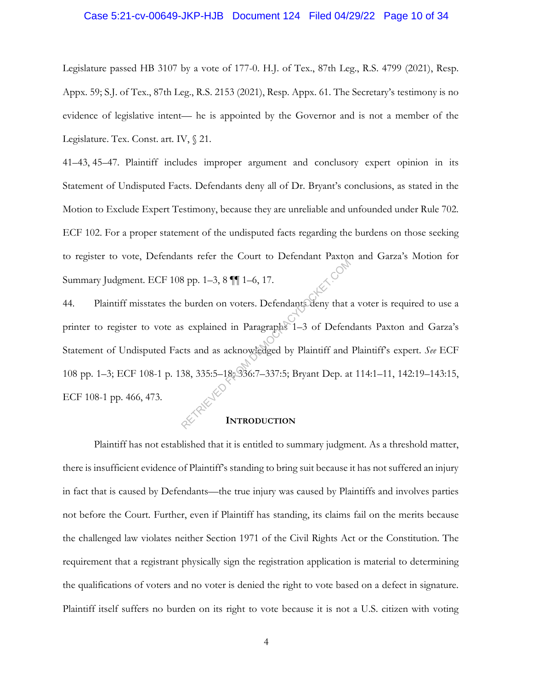#### Case 5:21-cv-00649-JKP-HJB Document 124 Filed 04/29/22 Page 10 of 34

Legislature passed HB 3107 by a vote of 177-0. H.J. of Tex., 87th Leg., R.S. 4799 (2021), Resp. Appx. 59; S.J. of Tex., 87th Leg., R.S. 2153 (2021), Resp. Appx. 61. The Secretary's testimony is no evidence of legislative intent— he is appointed by the Governor and is not a member of the Legislature. Tex. Const. art. IV, § 21.

41–43, 45–47. Plaintiff includes improper argument and conclusory expert opinion in its Statement of Undisputed Facts. Defendants deny all of Dr. Bryant's conclusions, as stated in the Motion to Exclude Expert Testimony, because they are unreliable and unfounded under Rule 702. ECF 102. For a proper statement of the undisputed facts regarding the burdens on those seeking to register to vote, Defendants refer the Court to Defendant Paxton and Garza's Motion for Summary Judgment. ECF 108 pp. 1–3, 8 ¶¶ 1–6, 17.

44. Plaintiff misstates the burden on voters. Defendants deny that a voter is required to use a printer to register to vote as explained in Paragraphs 1–3 of Defendants Paxton and Garza's Statement of Undisputed Facts and as acknowledged by Plaintiff and Plaintiff's expert. *See* ECF 108 pp. 1–3; ECF 108-1 p. 138, 335:5–18; 336:7–337:5; Bryant Dep. at 114:1–11, 142:19–143:15, ECF 108-1 pp. 466, 473. Rep. 1–3, 8 || 1–6, 17.<br>
Explained in Paragraphs 1–3 of Defendent<br>
Sexplained in Paragraphs 1–3 of Defendents and as acknowledged by Plaintiff and<br>
38, 335:5–18, 336:7–337:5; Bryant Dep. at<br>
REP. 18, 2007–337:5; Bryant Dep

### **INTRODUCTION**

Plaintiff has not established that it is entitled to summary judgment. As a threshold matter, there is insufficient evidence of Plaintiff's standing to bring suit because it has not suffered an injury in fact that is caused by Defendants—the true injury was caused by Plaintiffs and involves parties not before the Court. Further, even if Plaintiff has standing, its claims fail on the merits because the challenged law violates neither Section 1971 of the Civil Rights Act or the Constitution. The requirement that a registrant physically sign the registration application is material to determining the qualifications of voters and no voter is denied the right to vote based on a defect in signature. Plaintiff itself suffers no burden on its right to vote because it is not a U.S. citizen with voting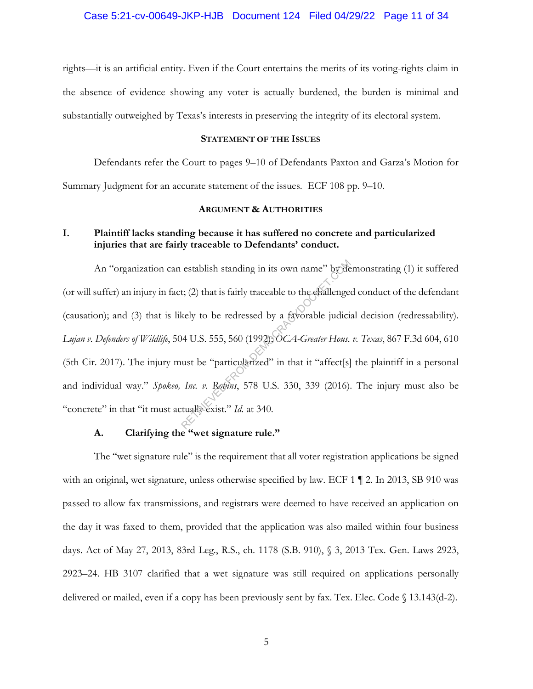rights—it is an artificial entity. Even if the Court entertains the merits of its voting-rights claim in the absence of evidence showing any voter is actually burdened, the burden is minimal and substantially outweighed by Texas's interests in preserving the integrity of its electoral system.

#### **STATEMENT OF THE ISSUES**

Defendants refer the Court to pages 9–10 of Defendants Paxton and Garza's Motion for

Summary Judgment for an accurate statement of the issues. ECF 108 pp. 9–10.

#### **ARGUMENT & AUTHORITIES**

## **I. Plaintiff lacks standing because it has suffered no concrete and particularized injuries that are fairly traceable to Defendants' conduct.**

An "organization can establish standing in its own name" by demonstrating (1) it suffered (or will suffer) an injury in fact; (2) that is fairly traceable to the challenged conduct of the defendant (causation); and (3) that is likely to be redressed by a favorable judicial decision (redressability). *Lujan v. Defenders of Wildlife*, 504 U.S. 555, 560 (1992); *OCA-Greater Hous. v. Texas*, 867 F.3d 604, 610 (5th Cir. 2017). The injury must be "particularized" in that it "affect[s] the plaintiff in a personal and individual way." *Spokeo, Inc. v. Robins*, 578 U.S. 330, 339 (2016). The injury must also be "concrete" in that "it must actually exist." *Id.* at 340. establish standing in its own name" by de<br>t; (2) that is fairly traceable to the challenge<br>kely to be redressed by a favorable judici:<br>14 U.S. 555, 560 (1992); OCA-Greater Hous.<br>ust be "particularized" in that it "affect[s

### **A. Clarifying the "wet signature rule."**

The "wet signature rule" is the requirement that all voter registration applications be signed with an original, wet signature, unless otherwise specified by law. ECF 1  $\P$  2. In 2013, SB 910 was passed to allow fax transmissions, and registrars were deemed to have received an application on the day it was faxed to them, provided that the application was also mailed within four business days. Act of May 27, 2013, 83rd Leg., R.S., ch. 1178 (S.B. 910), § 3, 2013 Tex. Gen. Laws 2923, 2923–24. HB 3107 clarified that a wet signature was still required on applications personally delivered or mailed, even if a copy has been previously sent by fax. Tex. Elec. Code  $\S$  13.143(d-2).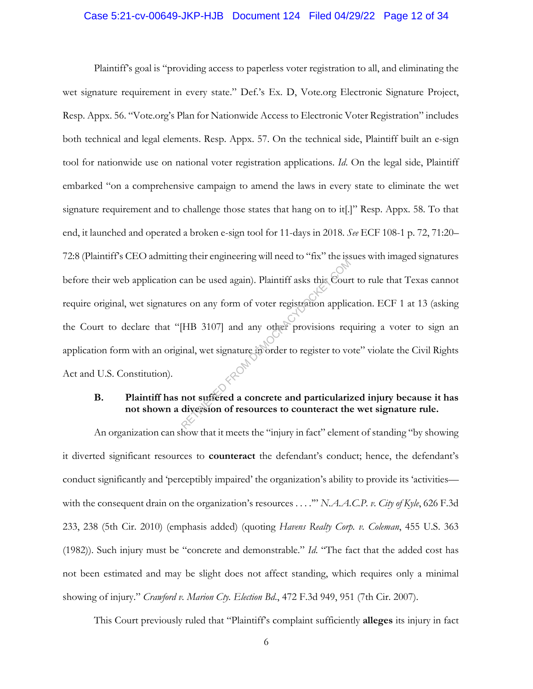#### Case 5:21-cv-00649-JKP-HJB Document 124 Filed 04/29/22 Page 12 of 34

Plaintiff's goal is "providing access to paperless voter registration to all, and eliminating the wet signature requirement in every state." Def.'s Ex. D, Vote.org Electronic Signature Project, Resp. Appx. 56. "Vote.org's Plan for Nationwide Access to Electronic Voter Registration" includes both technical and legal elements. Resp. Appx. 57. On the technical side, Plaintiff built an e-sign tool for nationwide use on national voter registration applications. *Id*. On the legal side, Plaintiff embarked "on a comprehensive campaign to amend the laws in every state to eliminate the wet signature requirement and to challenge those states that hang on to it.<sup>[1]</sup> Resp. Appx. 58. To that end, it launched and operated a broken e-sign tool for 11-days in 2018. *See* ECF 108-1 p. 72, 71:20– 72:8 (Plaintiff's CEO admitting their engineering will need to "fix" the issues with imaged signatures before their web application can be used again). Plaintiff asks this Court to rule that Texas cannot require original, wet signatures on any form of voter registration application. ECF 1 at 13 (asking the Court to declare that "[HB 3107] and any other provisions requiring a voter to sign an application form with an original, wet signature in order to register to vote" violate the Civil Rights Act and U.S. Constitution). Exam be used again). Plaintiff asks this Court<br>es on any form of voter registration applic<br>[HB 3107] and any other provisions recordinal, wet signature in order to register to voter<br>and, wet signature in order to register

## **B. Plaintiff has not suffered a concrete and particularized injury because it has not shown a diversion of resources to counteract the wet signature rule.**

An organization can show that it meets the "injury in fact" element of standing "by showing it diverted significant resources to **counteract** the defendant's conduct; hence, the defendant's conduct significantly and 'perceptibly impaired' the organization's ability to provide its 'activities with the consequent drain on the organization's resources . . . .'" *N.A.A.C.P. v. City of Kyle*, 626 F.3d 233, 238 (5th Cir. 2010) (emphasis added) (quoting *Havens Realty Corp. v. Coleman*, 455 U.S. 363 (1982)). Such injury must be "concrete and demonstrable." *Id*. "The fact that the added cost has not been estimated and may be slight does not affect standing, which requires only a minimal showing of injury." *Crawford v. Marion Cty. Election Bd*., 472 F.3d 949, 951 (7th Cir. 2007).

This Court previously ruled that "Plaintiff's complaint sufficiently **alleges** its injury in fact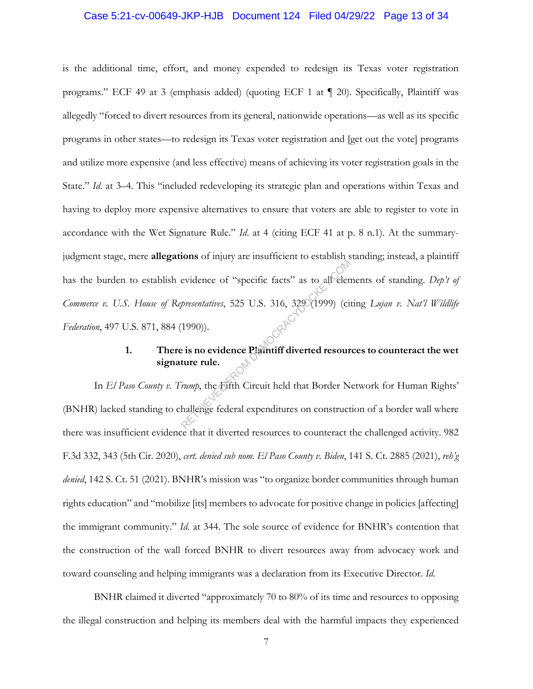#### Case 5:21-cv-00649-JKP-HJB Document 124 Filed 04/29/22 Page 13 of 34

is the additional time, effort, and money expended to redesign its Texas voter registration programs." ECF 49 at 3 (emphasis added) (quoting ECF 1 at ¶ 20). Specifically, Plaintiff was allegedly "forced to divert resources from its general, nationwide operations—as well as its specific programs in other states—to redesign its Texas voter registration and [get out the vote] programs and utilize more expensive (and less effective) means of achieving its voter registration goals in the State." *Id*. at 3–4. This "included redeveloping its strategic plan and operations within Texas and having to deploy more expensive alternatives to ensure that voters are able to register to vote in accordance with the Wet Signature Rule." *Id*. at 4 (citing ECF 41 at p. 8 n.1). At the summaryjudgment stage, mere **allegations** of injury are insufficient to establish standing; instead, a plaintiff has the burden to establish evidence of "specific facts" as to all elements of standing. *Dep't of Commerce v. U.S. House of Representatives*, 525 U.S. 316, 329 (1999) (citing *Lujan v. Nat'l Wildlife Federation*, 497 U.S. 871, 884 (1990)). Evidence of "specific facts" as to all elem<br>presentatives, 525 U.S. 316, 3290(1999) (circle 1990)).<br>(1990)).<br>Prime rule.<br>From the Eurich Circuit held that Border Nearly the Eurine rule.

## **1. There is no evidence Plaintiff diverted resources to counteract the wet signature rule.**

In *El Paso County v. Trump*, the Fifth Circuit held that Border Network for Human Rights' (BNHR) lacked standing to challenge federal expenditures on construction of a border wall where there was insufficient evidence that it diverted resources to counteract the challenged activity. 982 F.3d 332, 343 (5th Cir. 2020), *cert. denied sub nom. El Paso County v. Biden*, 141 S. Ct. 2885 (2021), *reh'g denied*, 142 S. Ct. 51 (2021). BNHR's mission was "to organize border communities through human rights education" and "mobilize [its] members to advocate for positive change in policies [affecting] the immigrant community." *Id*. at 344. The sole source of evidence for BNHR's contention that the construction of the wall forced BNHR to divert resources away from advocacy work and toward counseling and helping immigrants was a declaration from its Executive Director. *Id*.

BNHR claimed it diverted "approximately 70 to 80% of its time and resources to opposing the illegal construction and helping its members deal with the harmful impacts they experienced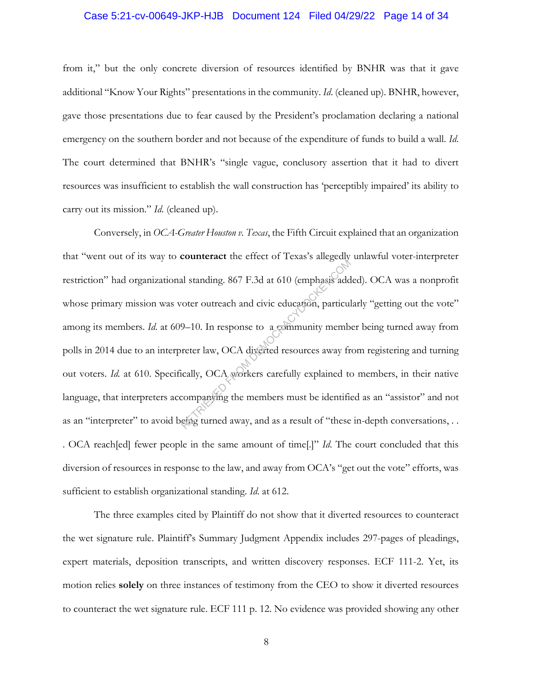#### Case 5:21-cv-00649-JKP-HJB Document 124 Filed 04/29/22 Page 14 of 34

from it," but the only concrete diversion of resources identified by BNHR was that it gave additional "Know Your Rights" presentations in the community. *Id*. (cleaned up). BNHR, however, gave those presentations due to fear caused by the President's proclamation declaring a national emergency on the southern border and not because of the expenditure of funds to build a wall. *Id*. The court determined that BNHR's "single vague, conclusory assertion that it had to divert resources was insufficient to establish the wall construction has 'perceptibly impaired' its ability to carry out its mission." *Id*. (cleaned up).

Conversely, in *OCA-Greater Houston v. Texas*, the Fifth Circuit explained that an organization that "went out of its way to **counteract** the effect of Texas's allegedly unlawful voter-interpreter restriction" had organizational standing. 867 F.3d at 610 (emphasis added). OCA was a nonprofit whose primary mission was voter outreach and civic education, particularly "getting out the vote" among its members. *Id*. at 609–10. In response to a community member being turned away from polls in 2014 due to an interpreter law, OCA diverted resources away from registering and turning out voters. *Id.* at 610. Specifically, OCA workers carefully explained to members, in their native language, that interpreters accompanying the members must be identified as an "assistor" and not as an "interpreter" to avoid being turned away, and as a result of "these in-depth conversations, . . . OCA reach[ed] fewer people in the same amount of time[.]" *Id*. The court concluded that this diversion of resources in response to the law, and away from OCA's "get out the vote" efforts, was sufficient to establish organizational standing. *Id*. at 612. al standing. 867 F.3d at 610 (emphasis addressed and civic education, particulation of the members of a community member and civic education, particularly members to a community member away frically, OCA workers carefully

The three examples cited by Plaintiff do not show that it diverted resources to counteract the wet signature rule. Plaintiff's Summary Judgment Appendix includes 297-pages of pleadings, expert materials, deposition transcripts, and written discovery responses. ECF 111-2. Yet, its motion relies **solely** on three instances of testimony from the CEO to show it diverted resources to counteract the wet signature rule. ECF 111 p. 12. No evidence was provided showing any other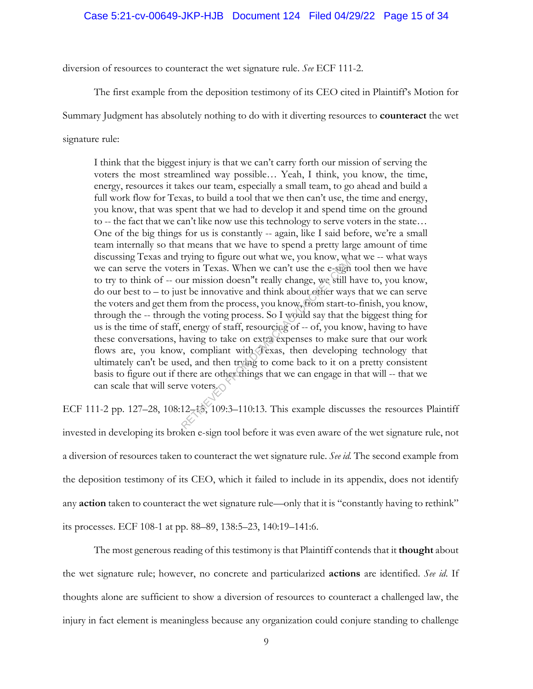#### Case 5:21-cv-00649-JKP-HJB Document 124 Filed 04/29/22 Page 15 of 34

diversion of resources to counteract the wet signature rule. *See* ECF 111-2.

The first example from the deposition testimony of its CEO cited in Plaintiff's Motion for

Summary Judgment has absolutely nothing to do with it diverting resources to **counteract** the wet

signature rule:

I think that the biggest injury is that we can't carry forth our mission of serving the voters the most streamlined way possible… Yeah, I think, you know, the time, energy, resources it takes our team, especially a small team, to go ahead and build a full work flow for Texas, to build a tool that we then can't use, the time and energy, you know, that was spent that we had to develop it and spend time on the ground to -- the fact that we can't like now use this technology to serve voters in the state… One of the big things for us is constantly -- again, like I said before, we're a small team internally so that means that we have to spend a pretty large amount of time discussing Texas and trying to figure out what we, you know, what we -- what ways we can serve the voters in Texas. When we can't use the e-sign tool then we have to try to think of -- our mission doesn''t really change, we still have to, you know, do our best to – to just be innovative and think about other ways that we can serve the voters and get them from the process, you know, from start-to-finish, you know, through the -- through the voting process. So I would say that the biggest thing for us is the time of staff, energy of staff, resourcing of -- of, you know, having to have these conversations, having to take on extra expenses to make sure that our work flows are, you know, compliant with Texas, then developing technology that ultimately can't be used, and then trying to come back to it on a pretty consistent basis to figure out if there are other things that we can engage in that will -- that we can scale that will serve voters. Example of the contracted with the e-sign<br>triangle of the contracted the e-sign<br>triangle in Texas. When we can't use the e-sign<br>at the innovative and think about other way<br>m from the process, you know, from start-t<br>the vo

ECF 111-2 pp. 127–28, 108:12–15, 109:3–110:13. This example discusses the resources Plaintiff invested in developing its broken e-sign tool before it was even aware of the wet signature rule, not a diversion of resources taken to counteract the wet signature rule. *See id.* The second example from the deposition testimony of its CEO, which it failed to include in its appendix, does not identify any **action** taken to counteract the wet signature rule—only that it is "constantly having to rethink" its processes. ECF 108-1 at pp. 88–89, 138:5–23, 140:19–141:6.

The most generous reading of this testimony is that Plaintiff contends that it **thought** about the wet signature rule; however, no concrete and particularized **actions** are identified. *See id*. If thoughts alone are sufficient to show a diversion of resources to counteract a challenged law, the injury in fact element is meaningless because any organization could conjure standing to challenge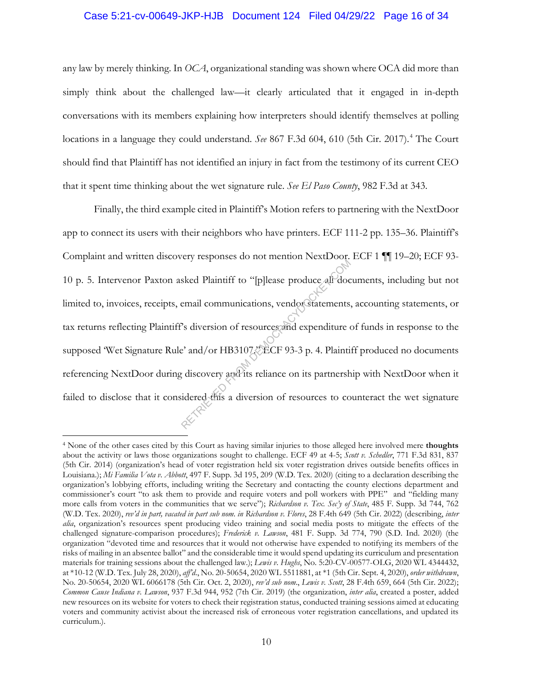#### Case 5:21-cv-00649-JKP-HJB Document 124 Filed 04/29/22 Page 16 of 34

any law by merely thinking. In *OCA*, organizational standing was shown where OCA did more than simply think about the challenged law—it clearly articulated that it engaged in in-depth conversations with its members explaining how interpreters should identify themselves at polling locations in a language they could understand. *See* 867 F.3d 604, 610 (5th Cir. 2017).<sup>4</sup> The Court should find that Plaintiff has not identified an injury in fact from the testimony of its current CEO that it spent time thinking about the wet signature rule. *See El Paso County*, 982 F.3d at 343.

Finally, the third example cited in Plaintiff's Motion refers to partnering with the NextDoor app to connect its users with their neighbors who have printers. ECF 111-2 pp. 135–36. Plaintiff's Complaint and written discovery responses do not mention NextDoor. ECF 1 ¶¶ 19–20; ECF 93- 10 p. 5. Intervenor Paxton asked Plaintiff to "[p]lease produce all documents, including but not limited to, invoices, receipts, email communications, vendor statements, accounting statements, or tax returns reflecting Plaintiff's diversion of resources and expenditure of funds in response to the supposed 'Wet Signature Rule' and/or HB3107. ECF 93-3 p. 4. Plaintiff produced no documents referencing NextDoor during discovery and its reliance on its partnership with NextDoor when it failed to disclose that it considered this a diversion of resources to counteract the wet signature explorate as not members reads of<br>sked Plaintiff to "[p]lease produce all doce<br>email communications, vendor statements,<br>?s diversion of resources and expenditure of<br>? and/or HB310722ECF 93-3 p. 4. Plaintip<br>idered this a di

<sup>4</sup> None of the other cases cited by this Court as having similar injuries to those alleged here involved mere **thoughts**  about the activity or laws those organizations sought to challenge. ECF 49 at 4-5; *Scott v. Schedler*, 771 F.3d 831, 837 (5th Cir. 2014) (organization's head of voter registration held six voter registration drives outside benefits offices in Louisiana.); *Mi Familia Vota v. Abbott*, 497 F. Supp. 3d 195, 209 (W.D. Tex. 2020) (citing to a declaration describing the organization's lobbying efforts, including writing the Secretary and contacting the county elections department and commissioner's court "to ask them to provide and require voters and poll workers with PPE" and "fielding many more calls from voters in the communities that we serve"); *Richardson v. Tex. Sec'y of State*, 485 F. Supp. 3d 744, 762 (W.D. Tex. 2020), *rev'd in part, vacated in part sub nom*. *in Richardson v. Flores*, 28 F.4th 649 (5th Cir. 2022) (describing, *inter alia*, organization's resources spent producing video training and social media posts to mitigate the effects of the challenged signature-comparison procedures); *Frederick v. Lawson*, 481 F. Supp. 3d 774, 790 (S.D. Ind. 2020) (the organization "devoted time and resources that it would not otherwise have expended to notifying its members of the risks of mailing in an absentee ballot" and the considerable time it would spend updating its curriculum and presentation materials for training sessions about the challenged law.); *Lewis v. Hughs*, No. 5:20-CV-00577-OLG, 2020 WL 4344432, at \*10-12 (W.D. Tex. July 28, 2020), *aff'd*., No. 20-50654, 2020 WL 5511881, at \*1 (5th Cir. Sept. 4, 2020), *order withdrawn*, No. 20-50654, 2020 WL 6066178 (5th Cir. Oct. 2, 2020), *rev'd sub nom*., *Lewis v. Scott*, 28 F.4th 659, 664 (5th Cir. 2022); *Common Cause Indiana v. Lawson*, 937 F.3d 944, 952 (7th Cir. 2019) (the organization, *inter alia*, created a poster, added new resources on its website for voters to check their registration status, conducted training sessions aimed at educating voters and community activist about the increased risk of erroneous voter registration cancellations, and updated its curriculum.).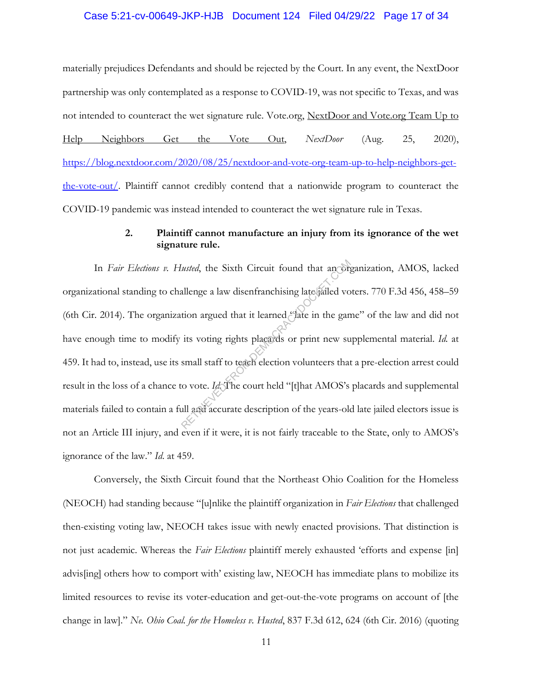#### Case 5:21-cv-00649-JKP-HJB Document 124 Filed 04/29/22 Page 17 of 34

materially prejudices Defendants and should be rejected by the Court. In any event, the NextDoor partnership was only contemplated as a response to COVID-19, was not specific to Texas, and was not intended to counteract the wet signature rule. Vote.org, NextDoor and Vote.org Team Up to Help Neighbors Get the Vote Out, *NextDoor* (Aug. 25, 2020), https://blog.nextdoor.com/2020/08/25/nextdoor-and-vote-org-team-up-to-help-neighbors-getthe-vote-out/. Plaintiff cannot credibly contend that a nationwide program to counteract the COVID-19 pandemic was instead intended to counteract the wet signature rule in Texas.

## **2. Plaintiff cannot manufacture an injury from its ignorance of the wet signature rule.**

In *Fair Elections v. Husted*, the Sixth Circuit found that an organization, AMOS, lacked organizational standing to challenge a law disenfranchising late jailed voters. 770 F.3d 456, 458–59 (6th Cir. 2014). The organization argued that it learned "late in the game" of the law and did not have enough time to modify its voting rights placards or print new supplemental material. *Id.* at 459. It had to, instead, use its small staff to teach election volunteers that a pre-election arrest could result in the loss of a chance to vote. *Id*. The court held "[t]hat AMOS's placards and supplemental materials failed to contain a full and accurate description of the years-old late jailed electors issue is not an Article III injury, and even if it were, it is not fairly traceable to the State, only to AMOS's ignorance of the law." *Id*. at 459. Fusted, the Sixth Circuit found that an original<br>allenge a law disenfranchising late failed vo<br>tion argued that it learned "aate in the gan<br>its voting rights placards or print new su<br>small staff to teach election voluntee

Conversely, the Sixth Circuit found that the Northeast Ohio Coalition for the Homeless (NEOCH) had standing because "[u]nlike the plaintiff organization in *Fair Elections* that challenged then-existing voting law, NEOCH takes issue with newly enacted provisions. That distinction is not just academic. Whereas the *Fair Elections* plaintiff merely exhausted 'efforts and expense [in] advis[ing] others how to comport with' existing law, NEOCH has immediate plans to mobilize its limited resources to revise its voter-education and get-out-the-vote programs on account of [the change in law]." *Ne. Ohio Coal. for the Homeless v. Husted*, 837 F.3d 612, 624 (6th Cir. 2016) (quoting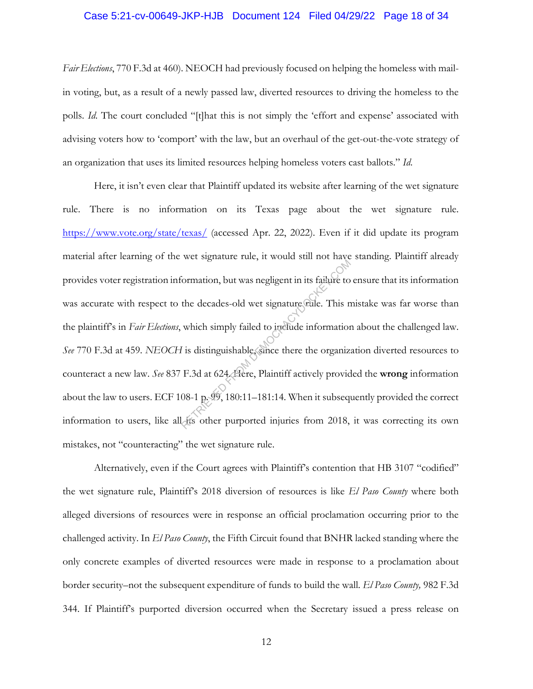#### Case 5:21-cv-00649-JKP-HJB Document 124 Filed 04/29/22 Page 18 of 34

*Fair Elections*, 770 F.3d at 460). NEOCH had previously focused on helping the homeless with mailin voting, but, as a result of a newly passed law, diverted resources to driving the homeless to the polls. *Id*. The court concluded "[t]hat this is not simply the 'effort and expense' associated with advising voters how to 'comport' with the law, but an overhaul of the get-out-the-vote strategy of an organization that uses its limited resources helping homeless voters cast ballots." *Id*.

Here, it isn't even clear that Plaintiff updated its website after learning of the wet signature rule. There is no information on its Texas page about the wet signature rule. https://www.vote.org/state/texas/ (accessed Apr. 22, 2022). Even if it did update its program material after learning of the wet signature rule, it would still not have standing. Plaintiff already provides voter registration information, but was negligent in its failure to ensure that its information was accurate with respect to the decades-old wet signature rule. This mistake was far worse than the plaintiff's in *Fair Elections*, which simply failed to include information about the challenged law. *See* 770 F.3d at 459. *NEOCH* is distinguishable, since there the organization diverted resources to counteract a new law. *See* 837 F.3d at 624. Here, Plaintiff actively provided the **wrong** information about the law to users. ECF 108-1 p. 99, 180:11–181:14. When it subsequently provided the correct information to users, like all its other purported injuries from 2018, it was correcting its own mistakes, not "counteracting" the wet signature rule. From the decades-old wet signature cule. This not<br>the decades-old wet signature cule. This not<br>which simply failed to include information<br>I is distinguishable since there the organize<br>F.3d at 624. Here, Plaintiff actively

Alternatively, even if the Court agrees with Plaintiff's contention that HB 3107 "codified" the wet signature rule, Plaintiff's 2018 diversion of resources is like *El Paso County* where both alleged diversions of resources were in response an official proclamation occurring prior to the challenged activity. In *El Paso County*, the Fifth Circuit found that BNHR lacked standing where the only concrete examples of diverted resources were made in response to a proclamation about border security–not the subsequent expenditure of funds to build the wall. *El Paso County,* 982 F.3d 344. If Plaintiff's purported diversion occurred when the Secretary issued a press release on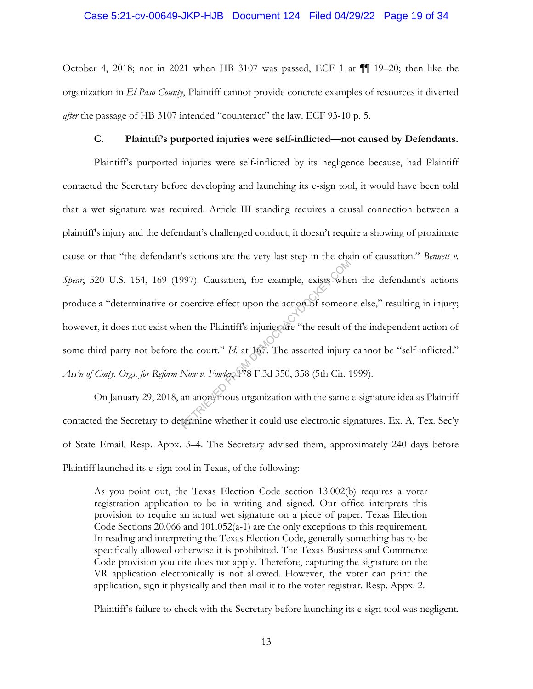#### Case 5:21-cv-00649-JKP-HJB Document 124 Filed 04/29/22 Page 19 of 34

October 4, 2018; not in 2021 when HB 3107 was passed, ECF 1 at ¶¶ 19–20; then like the organization in *El Paso County*, Plaintiff cannot provide concrete examples of resources it diverted *after* the passage of HB 3107 intended "counteract" the law. ECF 93-10 p. 5.

#### **C. Plaintiff's purported injuries were self-inflicted—not caused by Defendants.**

Plaintiff's purported injuries were self-inflicted by its negligence because, had Plaintiff contacted the Secretary before developing and launching its e-sign tool, it would have been told that a wet signature was required. Article III standing requires a causal connection between a plaintiff's injury and the defendant's challenged conduct, it doesn't require a showing of proximate cause or that "the defendant's actions are the very last step in the chain of causation." *Bennett v. Spear*, 520 U.S. 154, 169 (1997). Causation, for example, exists when the defendant's actions produce a "determinative or coercive effect upon the action of someone else," resulting in injury; however, it does not exist when the Plaintiff's injuries are "the result of the independent action of some third party not before the court." *Id*. at 167. The asserted injury cannot be "self-inflicted." Ass'n of Cmty. Orgs. for Reform Now v. Fowler, 178 F.3d 350, 358 (5th Cir. 1999). From the the very find dep in the express<br>POPT). Causation, for example, exists where<br>coercive effect upon the action of someon<br>ten the Plaintiff's injuries are "the result of<br>the court." Id. at 16. The asserted injury<br>Now

On January 29, 2018, an anonymous organization with the same e-signature idea as Plaintiff contacted the Secretary to determine whether it could use electronic signatures. Ex. A, Tex. Sec'y of State Email, Resp. Appx. 3–4. The Secretary advised them, approximately 240 days before Plaintiff launched its e-sign tool in Texas, of the following:

As you point out, the Texas Election Code section 13.002(b) requires a voter registration application to be in writing and signed. Our office interprets this provision to require an actual wet signature on a piece of paper. Texas Election Code Sections 20.066 and 101.052(a-1) are the only exceptions to this requirement. In reading and interpreting the Texas Election Code, generally something has to be specifically allowed otherwise it is prohibited. The Texas Business and Commerce Code provision you cite does not apply. Therefore, capturing the signature on the VR application electronically is not allowed. However, the voter can print the application, sign it physically and then mail it to the voter registrar. Resp. Appx. 2.

Plaintiff's failure to check with the Secretary before launching its e-sign tool was negligent.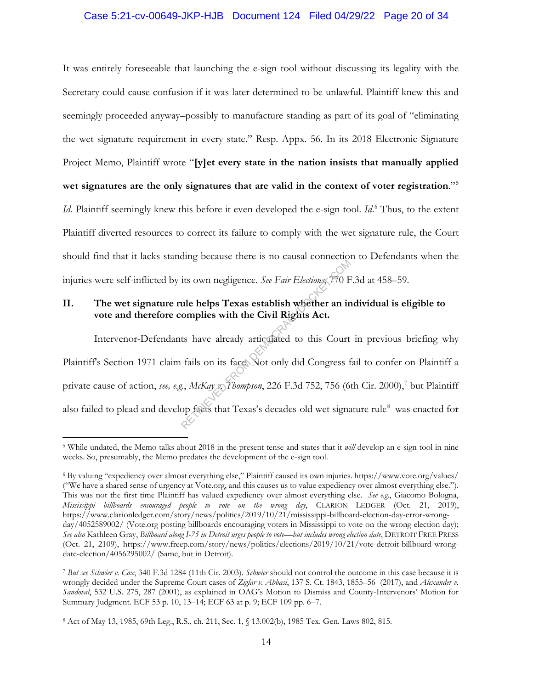### Case 5:21-cv-00649-JKP-HJB Document 124 Filed 04/29/22 Page 20 of 34

It was entirely foreseeable that launching the e-sign tool without discussing its legality with the Secretary could cause confusion if it was later determined to be unlawful. Plaintiff knew this and seemingly proceeded anyway–possibly to manufacture standing as part of its goal of "eliminating the wet signature requirement in every state." Resp. Appx. 56. In its 2018 Electronic Signature Project Memo, Plaintiff wrote "**[y]et every state in the nation insists that manually applied wet signatures are the only signatures that are valid in the context of voter registration**."5

*Id.* Plaintiff seemingly knew this before it even developed the e-sign tool. *Id*. <sup>6</sup> Thus, to the extent Plaintiff diverted resources to correct its failure to comply with the wet signature rule, the Court should find that it lacks standing because there is no causal connection to Defendants when the injuries were self-inflicted by its own negligence. *See Fair Elections*, 770 F.3d at 458–59.

## **II. The wet signature rule helps Texas establish whether an individual is eligible to vote and therefore complies with the Civil Rights Act.**

 Intervenor-Defendants have already articulated to this Court in previous briefing why Plaintiff's Section 1971 claim fails on its face. Not only did Congress fail to confer on Plaintiff a private cause of action, *see, e.g.*, *McKay v. Thompson*, 226 F.3d 752, 756 (6th Cir. 2000), <sup>7</sup> but Plaintiff also failed to plead and develop facts that Texas's decades-old wet signature rule<sup>8</sup> was enacted for The state of the state of the state of the state of the state of the state of the state of the state of the Civil Rights Act.<br>
ts have already articulated to this Court fails on its face. Not only did Congress f<br>
ts, McKay

<sup>&</sup>lt;sup>5</sup> While undated, the Memo talks about 2018 in the present tense and states that it *will* develop an e-sign tool in nine weeks. So, presumably, the Memo predates the development of the e-sign tool.

<sup>6</sup> By valuing "expediency over almost everything else," Plaintiff caused its own injuries. https://www.vote.org/values/ ("We have a shared sense of urgency at Vote.org, and this causes us to value expediency over almost everything else."). This was not the first time Plaintiff has valued expediency over almost everything else. *See e.g.*, Giacomo Bologna, *Mississippi billboards encouraged people to vote—on the wrong day*, CLARION LEDGER (Oct. 21, 2019), https://www.clarionledger.com/story/news/politics/2019/10/21/mississippi-billboard-election-day-error-wrongday/4052589002/ (Vote.org posting billboards encouraging voters in Mississippi to vote on the wrong election day); *See also* Kathleen Gray, *Billboard along I-75 in Detroit urges people to vote—but includes wrong election date*, DETROIT FREE PRESS (Oct. 21, 2109), https://www.freep.com/story/news/politics/elections/2019/10/21/vote-detroit-billboard-wrongdate-election/4056295002/ (Same, but in Detroit).

<sup>7</sup> *But see Schwier v. Cox*, 340 F.3d 1284 (11th Cir. 2003). *Schwier* should not control the outcome in this case because it is wrongly decided under the Supreme Court cases of *Ziglar v. Abbasi*, 137 S. Ct. 1843, 1855–56 (2017), and *Alexander v. Sandoval*, 532 U.S. 275, 287 (2001), as explained in OAG's Motion to Dismiss and County-Intervenors' Motion for Summary Judgment. ECF 53 p. 10, 13–14; ECF 63 at p. 9; ECF 109 pp. 6–7.

<sup>8</sup> Act of May 13, 1985, 69th Leg., R.S., ch. 211, Sec. 1, § 13.002(b), 1985 Tex. Gen. Laws 802, 815.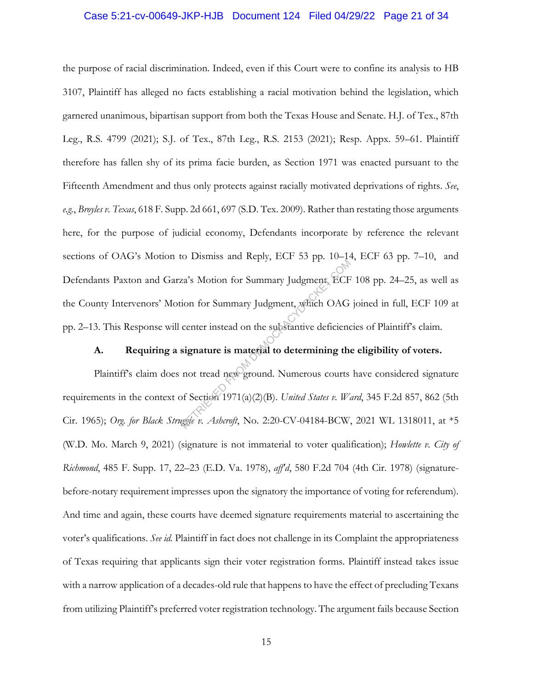#### Case 5:21-cv-00649-JKP-HJB Document 124 Filed 04/29/22 Page 21 of 34

the purpose of racial discrimination. Indeed, even if this Court were to confine its analysis to HB 3107, Plaintiff has alleged no facts establishing a racial motivation behind the legislation, which garnered unanimous, bipartisan support from both the Texas House and Senate. H.J. of Tex., 87th Leg., R.S. 4799 (2021); S.J. of Tex., 87th Leg., R.S. 2153 (2021); Resp. Appx. 59–61. Plaintiff therefore has fallen shy of its prima facie burden, as Section 1971 was enacted pursuant to the Fifteenth Amendment and thus only protects against racially motivated deprivations of rights. *See*, *e.g.*, *Broyles v. Texas*, 618 F. Supp. 2d 661, 697 (S.D. Tex. 2009). Rather than restating those arguments here, for the purpose of judicial economy, Defendants incorporate by reference the relevant sections of OAG's Motion to Dismiss and Reply, ECF 53 pp. 10–14, ECF 63 pp. 7–10, and Defendants Paxton and Garza's Motion for Summary Judgment, ECF 108 pp. 24–25, as well as the County Intervenors' Motion for Summary Judgment, which OAG joined in full, ECF 109 at pp. 2–13. This Response will center instead on the substantive deficiencies of Plaintiff's claim. Exa's Motion for Summary Judgment, which OAG<br>
enter instead on the substantive deficience<br>
signature is material to determining the<br>
not tread new ground. Numerous courts<br>
of Section 1971(a)(2)(B). United States v. We<br>
ug

## **A. Requiring a signature is material to determining the eligibility of voters.**

Plaintiff's claim does not tread new ground. Numerous courts have considered signature requirements in the context of Section 1971(a)(2)(B). *United States v. Ward*, 345 F.2d 857, 862 (5th Cir. 1965); *Org. for Black Struggle v. Ashcroft*, No. 2:20-CV-04184-BCW, 2021 WL 1318011, at \*5 (W.D. Mo. March 9, 2021) (signature is not immaterial to voter qualification); *Howlette v. City of Richmond*, 485 F. Supp. 17, 22–23 (E.D. Va. 1978), *aff'd*, 580 F.2d 704 (4th Cir. 1978) (signaturebefore-notary requirement impresses upon the signatory the importance of voting for referendum). And time and again, these courts have deemed signature requirements material to ascertaining the voter's qualifications. *See id.* Plaintiff in fact does not challenge in its Complaint the appropriateness of Texas requiring that applicants sign their voter registration forms. Plaintiff instead takes issue with a narrow application of a decades-old rule that happens to have the effect of precluding Texans from utilizing Plaintiff's preferred voter registration technology. The argument fails because Section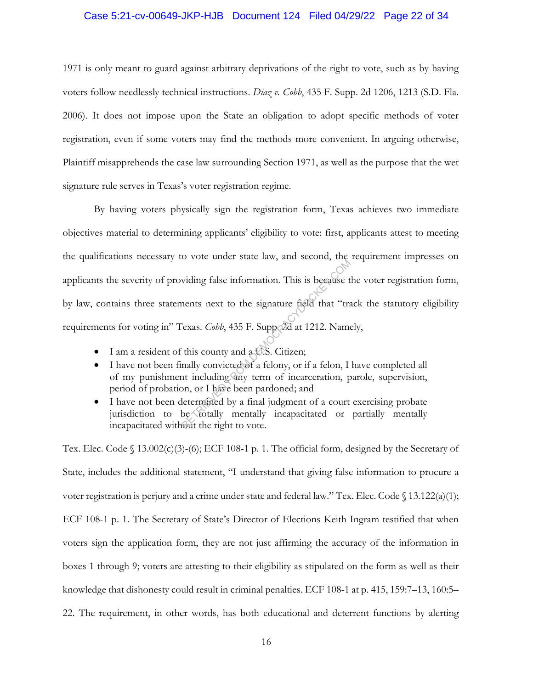#### Case 5:21-cv-00649-JKP-HJB Document 124 Filed 04/29/22 Page 22 of 34

1971 is only meant to guard against arbitrary deprivations of the right to vote, such as by having voters follow needlessly technical instructions. *Diaz v. Cobb*, 435 F. Supp. 2d 1206, 1213 (S.D. Fla. 2006). It does not impose upon the State an obligation to adopt specific methods of voter registration, even if some voters may find the methods more convenient. In arguing otherwise, Plaintiff misapprehends the case law surrounding Section 1971, as well as the purpose that the wet signature rule serves in Texas's voter registration regime.

By having voters physically sign the registration form, Texas achieves two immediate objectives material to determining applicants' eligibility to vote: first, applicants attest to meeting the qualifications necessary to vote under state law, and second, the requirement impresses on applicants the severity of providing false information. This is because the voter registration form, by law, contains three statements next to the signature field that "track the statutory eligibility requirements for voting in" Texas. *Cobb*, 435 F. Supp. 2d at 1212. Namely, viding false information. This is because the<br>rest viding false information. This is because the<br>rest rest to the signature field that "tra-<br>rexas. *Cobb*, 435 F. Suppedd at 1212. Name<br>it this county and a U.S. Citizen;<br>na

- I am a resident of this county and a U.S. Citizen;
- I have not been finally convicted of a felony, or if a felon, I have completed all of my punishment including any term of incarceration, parole, supervision, period of probation, or I have been pardoned; and
- I have not been determined by a final judgment of a court exercising probate jurisdiction to be totally mentally incapacitated or partially mentally incapacitated without the right to vote.

Tex. Elec. Code  $\binom{13.002(c)(3)-(6)}{2}$ ; ECF 108-1 p. 1. The official form, designed by the Secretary of State, includes the additional statement, "I understand that giving false information to procure a voter registration is perjury and a crime under state and federal law." Tex. Elec. Code § 13.122(a)(1); ECF 108-1 p. 1. The Secretary of State's Director of Elections Keith Ingram testified that when voters sign the application form, they are not just affirming the accuracy of the information in boxes 1 through 9; voters are attesting to their eligibility as stipulated on the form as well as their knowledge that dishonesty could result in criminal penalties. ECF 108-1 at p. 415, 159:7–13, 160:5– 22. The requirement, in other words, has both educational and deterrent functions by alerting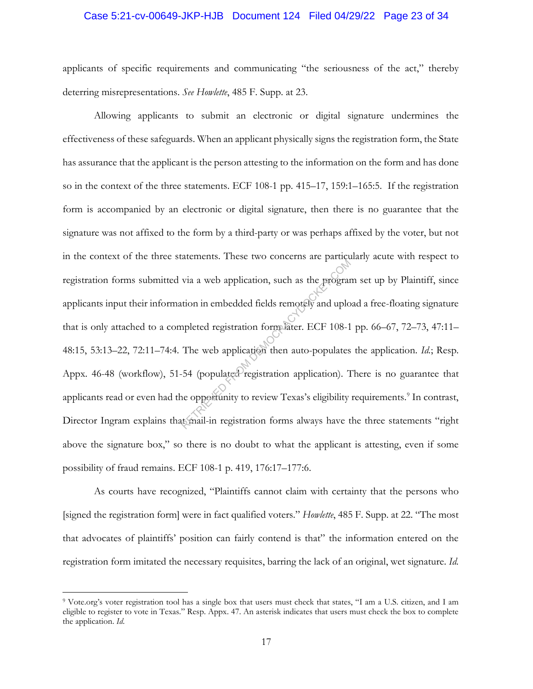#### Case 5:21-cv-00649-JKP-HJB Document 124 Filed 04/29/22 Page 23 of 34

applicants of specific requirements and communicating "the seriousness of the act," thereby deterring misrepresentations. *See Howlette*, 485 F. Supp. at 23.

Allowing applicants to submit an electronic or digital signature undermines the effectiveness of these safeguards. When an applicant physically signs the registration form, the State has assurance that the applicant is the person attesting to the information on the form and has done so in the context of the three statements. ECF 108-1 pp. 415–17, 159:1–165:5. If the registration form is accompanied by an electronic or digital signature, then there is no guarantee that the signature was not affixed to the form by a third-party or was perhaps affixed by the voter, but not in the context of the three statements. These two concerns are particularly acute with respect to registration forms submitted via a web application, such as the program set up by Plaintiff, since applicants input their information in embedded fields remotely and upload a free-floating signature that is only attached to a completed registration form later. ECF 108-1 pp. 66–67, 72–73, 47:11– 48:15, 53:13–22, 72:11–74:4. The web application then auto-populates the application. *Id.*; Resp. Appx. 46-48 (workflow), 51-54 (populated registration application). There is no guarantee that applicants read or even had the opportunity to review Texas's eligibility requirements.<sup>9</sup> In contrast, Director Ingram explains that mail-in registration forms always have the three statements "right above the signature box," so there is no doubt to what the applicant is attesting, even if some possibility of fraud remains. ECF 108-1 p. 419, 176:17–177:6. We also application, such as the program<br>with a web application, such as the program<br>tion in embedded fields remotely and uplo<br>npleted registration form later. ECF 108-1<br>The web application then auto-populates<br>54 (populate

As courts have recognized, "Plaintiffs cannot claim with certainty that the persons who [signed the registration form] were in fact qualified voters." *Howlette*, 485 F. Supp. at 22. "The most that advocates of plaintiffs' position can fairly contend is that" the information entered on the registration form imitated the necessary requisites, barring the lack of an original, wet signature. *Id.* 

<sup>&</sup>lt;sup>9</sup> Vote.org's voter registration tool has a single box that users must check that states, "I am a U.S. citizen, and I am eligible to register to vote in Texas." Resp. Appx. 47. An asterisk indicates that users must check the box to complete the application. *Id*.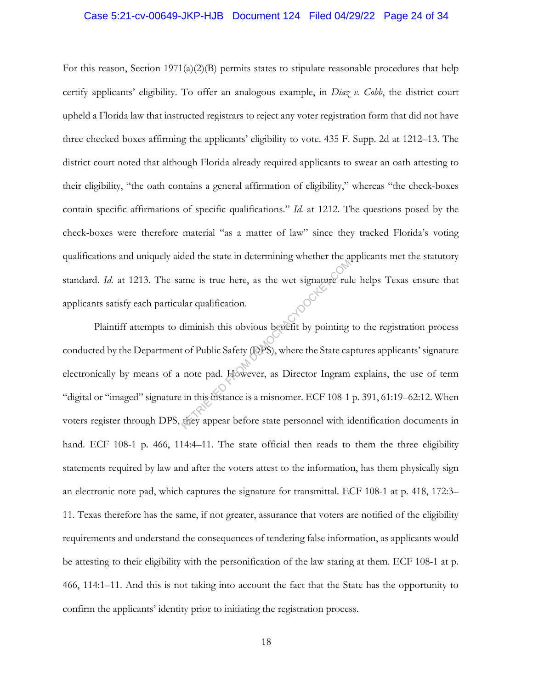#### Case 5:21-cv-00649-JKP-HJB Document 124 Filed 04/29/22 Page 24 of 34

For this reason, Section 1971(a)(2)(B) permits states to stipulate reasonable procedures that help certify applicants' eligibility. To offer an analogous example, in *Diaz v. Cobb*, the district court upheld a Florida law that instructed registrars to reject any voter registration form that did not have three checked boxes affirming the applicants' eligibility to vote. 435 F. Supp. 2d at 1212–13. The district court noted that although Florida already required applicants to swear an oath attesting to their eligibility, "the oath contains a general affirmation of eligibility," whereas "the check-boxes contain specific affirmations of specific qualifications." *Id.* at 1212. The questions posed by the check-boxes were therefore material "as a matter of law" since they tracked Florida's voting qualifications and uniquely aided the state in determining whether the applicants met the statutory standard. *Id.* at 1213. The same is true here, as the wet signature rule helps Texas ensure that applicants satisfy each particular qualification.

Plaintiff attempts to diminish this obvious benefit by pointing to the registration process conducted by the Department of Public Safety (DPS), where the State captures applicants' signature electronically by means of a note pad. However, as Director Ingram explains, the use of term "digital or "imaged" signature in this instance is a misnomer. ECF 108-1 p. 391, 61:19–62:12. When voters register through DPS, they appear before state personnel with identification documents in hand. ECF 108-1 p. 466, 114:4-11. The state official then reads to them the three eligibility statements required by law and after the voters attest to the information, has them physically sign an electronic note pad, which captures the signature for transmittal. ECF 108-1 at p. 418, 172:3– 11. Texas therefore has the same, if not greater, assurance that voters are notified of the eligibility requirements and understand the consequences of tendering false information, as applicants would be attesting to their eligibility with the personification of the law staring at them. ECF 108-1 at p. 466, 114:1–11. And this is not taking into account the fact that the State has the opportunity to confirm the applicants' identity prior to initiating the registration process. The state is true here, as the wet signature rule<br>alar qualification.<br>diminish this obvious benefit by pointing<br>tof Public Safety (DPS), where the State can<br>note pad. However, as Director Ingram<br>in this instance is a misno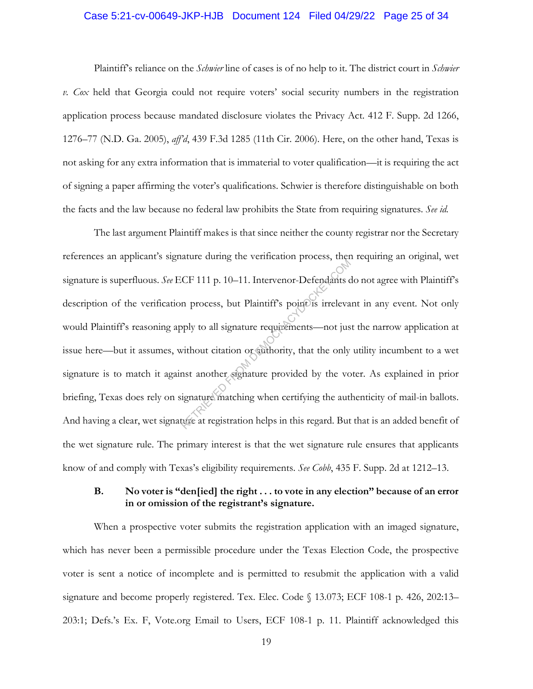#### Case 5:21-cv-00649-JKP-HJB Document 124 Filed 04/29/22 Page 25 of 34

Plaintiff's reliance on the *Schwier* line of cases is of no help to it. The district court in *Schwier v. Cox* held that Georgia could not require voters' social security numbers in the registration application process because mandated disclosure violates the Privacy Act. 412 F. Supp. 2d 1266, 1276–77 (N.D. Ga. 2005), *aff'd*, 439 F.3d 1285 (11th Cir. 2006). Here, on the other hand, Texas is not asking for any extra information that is immaterial to voter qualification—it is requiring the act of signing a paper affirming the voter's qualifications. Schwier is therefore distinguishable on both the facts and the law because no federal law prohibits the State from requiring signatures. *See id.*

The last argument Plaintiff makes is that since neither the county registrar nor the Secretary references an applicant's signature during the verification process, then requiring an original, wet signature is superfluous. *See* ECF 111 p. 10–11. Intervenor-Defendants do not agree with Plaintiff's description of the verification process, but Plaintiff's point is irrelevant in any event. Not only would Plaintiff's reasoning apply to all signature requirements—not just the narrow application at issue here—but it assumes, without citation or authority, that the only utility incumbent to a wet signature is to match it against another signature provided by the voter. As explained in prior briefing, Texas does rely on signature matching when certifying the authenticity of mail-in ballots. And having a clear, wet signature at registration helps in this regard. But that is an added benefit of the wet signature rule. The primary interest is that the wet signature rule ensures that applicants know of and comply with Texas's eligibility requirements. *See Cobb*, 435 F. Supp. 2d at 1212–13. CF 111 p. 10–11. Intervenor-Defendants compared to the process, but Plaintiff's point is irrelevantly be all signature requirements—not just without citation or authority, that the only not another signature provided by th

#### **B. No voter is "den[ied] the right . . . to vote in any election" because of an error in or omission of the registrant's signature.**

When a prospective voter submits the registration application with an imaged signature, which has never been a permissible procedure under the Texas Election Code, the prospective voter is sent a notice of incomplete and is permitted to resubmit the application with a valid signature and become properly registered. Tex. Elec. Code § 13.073; ECF 108-1 p. 426, 202:13– 203:1; Defs.'s Ex. F, Vote.org Email to Users, ECF 108-1 p. 11. Plaintiff acknowledged this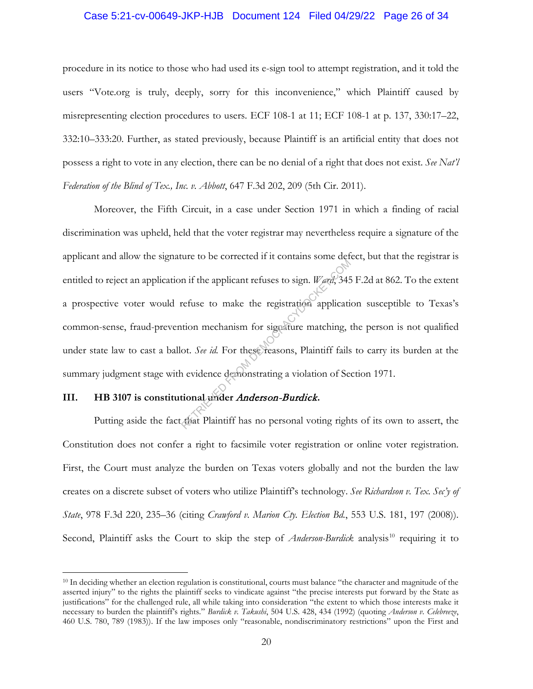#### Case 5:21-cv-00649-JKP-HJB Document 124 Filed 04/29/22 Page 26 of 34

procedure in its notice to those who had used its e-sign tool to attempt registration, and it told the users "Vote.org is truly, deeply, sorry for this inconvenience," which Plaintiff caused by misrepresenting election procedures to users. ECF 108-1 at 11; ECF 108-1 at p. 137, 330:17–22, 332:10–333:20. Further, as stated previously, because Plaintiff is an artificial entity that does not possess a right to vote in any election, there can be no denial of a right that does not exist. *See Nat'l Federation of the Blind of Tex., Inc. v. Abbott*, 647 F.3d 202, 209 (5th Cir. 2011).

Moreover, the Fifth Circuit, in a case under Section 1971 in which a finding of racial discrimination was upheld, held that the voter registrar may nevertheless require a signature of the applicant and allow the signature to be corrected if it contains some defect, but that the registrar is entitled to reject an application if the applicant refuses to sign. *Ward*, 345 F.2d at 862. To the extent a prospective voter would refuse to make the registration application susceptible to Texas's common-sense, fraud-prevention mechanism for signature matching, the person is not qualified under state law to cast a ballot. *See id.* For these reasons, Plaintiff fails to carry its burden at the summary judgment stage with evidence demonstrating a violation of Section 1971. In if the applicant refuses to sign. *Werd*, 345<br>refuse to make the registration application<br>tion mechanism for signature matching, to<br>t. *See id*. For these reasons, Plaintiff fails<br>a evidence demonstrating a violation of

## **III. HB 3107 is constitutional under** Anderson-Burdick**.**

Putting aside the fact that Plaintiff has no personal voting rights of its own to assert, the Constitution does not confer a right to facsimile voter registration or online voter registration. First, the Court must analyze the burden on Texas voters globally and not the burden the law creates on a discrete subset of voters who utilize Plaintiff's technology. *See Richardson v. Tex. Sec'y of State*, 978 F.3d 220, 235–36 (citing *Crawford v. Marion Cty. Election Bd.*, 553 U.S. 181, 197 (2008)). Second, Plaintiff asks the Court to skip the step of *Anderson-Burdick* analysis<sup>10</sup> requiring it to

<sup>&</sup>lt;sup>10</sup> In deciding whether an election regulation is constitutional, courts must balance "the character and magnitude of the asserted injury" to the rights the plaintiff seeks to vindicate against "the precise interests put forward by the State as justifications" for the challenged rule, all while taking into consideration "the extent to which those interests make it necessary to burden the plaintiff's rights." *Burdick v. Takushi*, 504 U.S. 428, 434 (1992) (quoting *Anderson v. Celebreeze*, 460 U.S. 780, 789 (1983)). If the law imposes only "reasonable, nondiscriminatory restrictions" upon the First and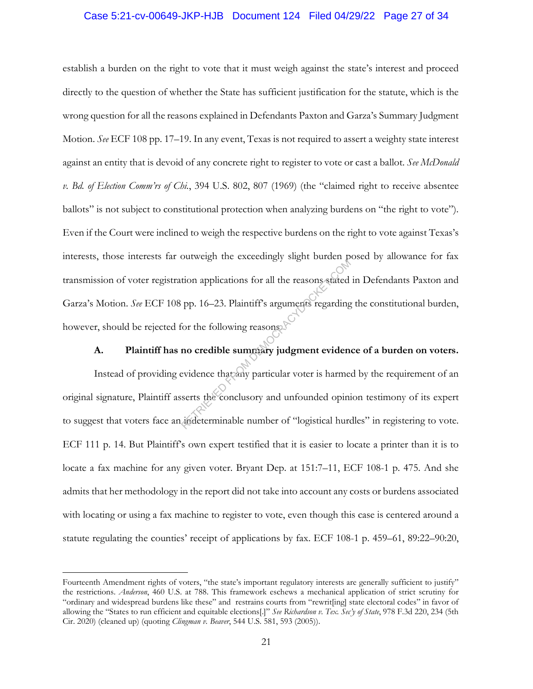#### Case 5:21-cv-00649-JKP-HJB Document 124 Filed 04/29/22 Page 27 of 34

establish a burden on the right to vote that it must weigh against the state's interest and proceed directly to the question of whether the State has sufficient justification for the statute, which is the wrong question for all the reasons explained in Defendants Paxton and Garza's Summary Judgment Motion. *See* ECF 108 pp. 17–19. In any event, Texas is not required to assert a weighty state interest against an entity that is devoid of any concrete right to register to vote or cast a ballot. *See McDonald v. Bd. of Election Comm'rs of Chi.*, 394 U.S. 802, 807 (1969) (the "claimed right to receive absentee ballots" is not subject to constitutional protection when analyzing burdens on "the right to vote"). Even if the Court were inclined to weigh the respective burdens on the right to vote against Texas's interests, those interests far outweigh the exceedingly slight burden posed by allowance for fax transmission of voter registration applications for all the reasons stated in Defendants Paxton and Garza's Motion. *See* ECF 108 pp. 16–23. Plaintiff's arguments regarding the constitutional burden, however, should be rejected for the following reasons. From applications for all the reasons stated<br>pp. 16–23. Plaintiff's arguments regarding<br>for the following reasons<br>**no credible summary judgment eviden**<br>evidence that any particular voter is harme<br>serts the conclusory and u

## **A. Plaintiff has no credible summary judgment evidence of a burden on voters.**

Instead of providing evidence that any particular voter is harmed by the requirement of an original signature, Plaintiff asserts the conclusory and unfounded opinion testimony of its expert to suggest that voters face an indeterminable number of "logistical hurdles" in registering to vote. ECF 111 p. 14. But Plaintiff's own expert testified that it is easier to locate a printer than it is to locate a fax machine for any given voter. Bryant Dep. at 151:7–11, ECF 108-1 p. 475. And she admits that her methodology in the report did not take into account any costs or burdens associated with locating or using a fax machine to register to vote, even though this case is centered around a statute regulating the counties' receipt of applications by fax. ECF 108-1 p. 459–61, 89:22–90:20,

Fourteenth Amendment rights of voters, "the state's important regulatory interests are generally sufficient to justify" the restrictions. *Anderson*, 460 U.S. at 788. This framework eschews a mechanical application of strict scrutiny for "ordinary and widespread burdens like these" and restrains courts from "rewrit[ing] state electoral codes" in favor of allowing the "States to run efficient and equitable elections[.]" *See Richardson v. Tex. Sec'y of State*, 978 F.3d 220, 234 (5th Cir. 2020) (cleaned up) (quoting *Clingman v. Beaver*, 544 U.S. 581, 593 (2005)).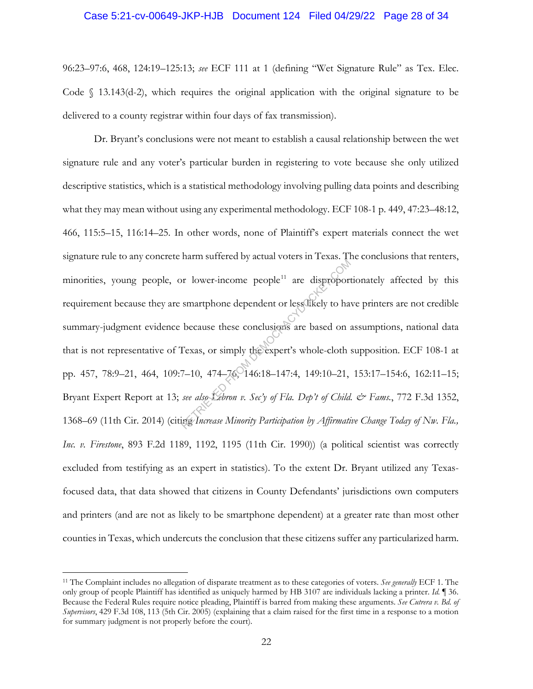#### Case 5:21-cv-00649-JKP-HJB Document 124 Filed 04/29/22 Page 28 of 34

96:23–97:6, 468, 124:19–125:13; *see* ECF 111 at 1 (defining "Wet Signature Rule" as Tex. Elec. Code  $\int$  13.143(d-2), which requires the original application with the original signature to be delivered to a county registrar within four days of fax transmission).

Dr. Bryant's conclusions were not meant to establish a causal relationship between the wet signature rule and any voter's particular burden in registering to vote because she only utilized descriptive statistics, which is a statistical methodology involving pulling data points and describing what they may mean without using any experimental methodology. ECF 108-1 p. 449, 47:23–48:12, 466, 115:5–15, 116:14–25. In other words, none of Plaintiff's expert materials connect the wet signature rule to any concrete harm suffered by actual voters in Texas. The conclusions that renters, minorities, young people, or lower-income people<sup>11</sup> are disproportionately affected by this requirement because they are smartphone dependent or less likely to have printers are not credible summary-judgment evidence because these conclusions are based on assumptions, national data that is not representative of Texas, or simply the expert's whole-cloth supposition. ECF 108-1 at pp. 457, 78:9–21, 464, 109:7–10, 474–76, 146:18–147:4, 149:10–21, 153:17–154:6, 162:11–15; Bryant Expert Report at 13; *see also Lebron v. Sec'y of Fla. Dep't of Child. & Fams.*, 772 F.3d 1352, 1368–69 (11th Cir. 2014) (citing *Increase Minority Participation by Affirmative Change Today of Nw. Fla., Inc. v. Firestone*, 893 F.2d 1189, 1192, 1195 (11th Cir. 1990)) (a political scientist was correctly excluded from testifying as an expert in statistics). To the extent Dr. Bryant utilized any Texasfocused data, that data showed that citizens in County Defendants' jurisdictions own computers and printers (and are not as likely to be smartphone dependent) at a greater rate than most other counties in Texas, which undercuts the conclusion that these citizens suffer any particularized harm. Fram Surface By actual Focket in Tenacy<br>or lower-income people<sup>11</sup> are disproport<br>smartphone dependent or less likely to ha<br>because these conclusions are based on :<br>Texas, or simply the expert's whole-cloth :<br>Texas, or sim

<sup>11</sup> The Complaint includes no allegation of disparate treatment as to these categories of voters. *See generally* ECF 1. The only group of people Plaintiff has identified as uniquely harmed by HB 3107 are individuals lacking a printer. *Id.* ¶ 36. Because the Federal Rules require notice pleading, Plaintiff is barred from making these arguments. *See Cutrera v. Bd. of Supervisors*, 429 F.3d 108, 113 (5th Cir. 2005) (explaining that a claim raised for the first time in a response to a motion for summary judgment is not properly before the court).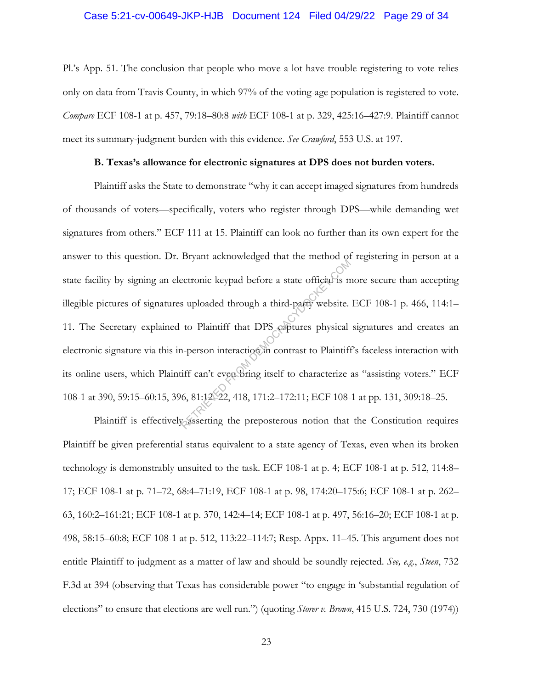#### Case 5:21-cv-00649-JKP-HJB Document 124 Filed 04/29/22 Page 29 of 34

Pl.'s App. 51. The conclusion that people who move a lot have trouble registering to vote relies only on data from Travis County, in which 97% of the voting-age population is registered to vote. *Compare* ECF 108-1 at p. 457, 79:18–80:8 *with* ECF 108-1 at p. 329, 425:16–427:9. Plaintiff cannot meet its summary-judgment burden with this evidence. *See Crawford*, 553 U.S. at 197.

#### **B. Texas's allowance for electronic signatures at DPS does not burden voters.**

Plaintiff asks the State to demonstrate "why it can accept imaged signatures from hundreds of thousands of voters—specifically, voters who register through DPS—while demanding wet signatures from others." ECF 111 at 15. Plaintiff can look no further than its own expert for the answer to this question. Dr. Bryant acknowledged that the method of registering in-person at a state facility by signing an electronic keypad before a state official is more secure than accepting illegible pictures of signatures uploaded through a third-party website. ECF 108-1 p. 466, 114:1– 11. The Secretary explained to Plaintiff that DPS captures physical signatures and creates an electronic signature via this in-person interaction in contrast to Plaintiff's faceless interaction with its online users, which Plaintiff can't even bring itself to characterize as "assisting voters." ECF 108-1 at 390, 59:15–60:15, 396, 81:12–22, 418, 171:2–172:11; ECF 108-1 at pp. 131, 309:18–25. Extronic keypad before a state official is m<br>s uploaded through a third-party website.<br>to Plaintiff that DPS captures physical<br>n-person interaction in contrast to Plaintiff<br>iff can't even bring itself to characterize<br>6, 81

Plaintiff is effectively asserting the preposterous notion that the Constitution requires Plaintiff be given preferential status equivalent to a state agency of Texas, even when its broken technology is demonstrably unsuited to the task. ECF 108-1 at p. 4; ECF 108-1 at p. 512, 114:8– 17; ECF 108-1 at p. 71–72, 68:4–71:19, ECF 108-1 at p. 98, 174:20–175:6; ECF 108-1 at p. 262– 63, 160:2–161:21; ECF 108-1 at p. 370, 142:4–14; ECF 108-1 at p. 497, 56:16–20; ECF 108-1 at p. 498, 58:15–60:8; ECF 108-1 at p. 512, 113:22–114:7; Resp. Appx. 11–45. This argument does not entitle Plaintiff to judgment as a matter of law and should be soundly rejected. *See, e.g.*, *Steen*, 732 F.3d at 394 (observing that Texas has considerable power "to engage in 'substantial regulation of elections" to ensure that elections are well run.") (quoting *Storer v. Brown*, 415 U.S. 724, 730 (1974))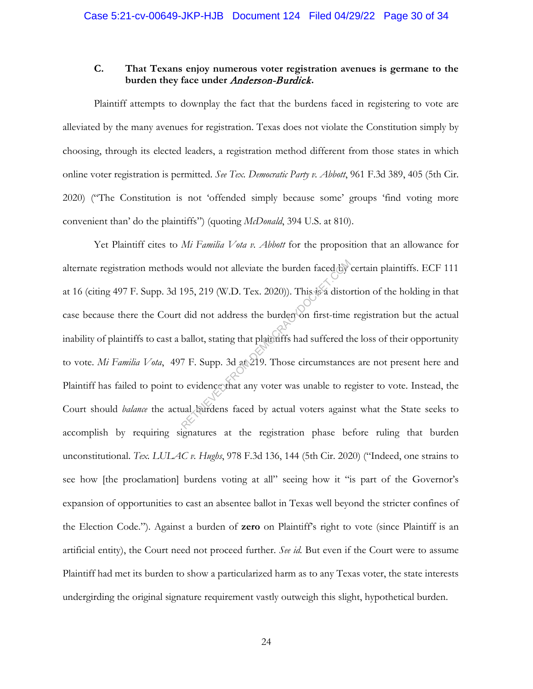## **C. That Texans enjoy numerous voter registration avenues is germane to the burden they face under** Anderson-Burdick**.**

Plaintiff attempts to downplay the fact that the burdens faced in registering to vote are alleviated by the many avenues for registration. Texas does not violate the Constitution simply by choosing, through its elected leaders, a registration method different from those states in which online voter registration is permitted. *See Tex. Democratic Party v. Abbott*, 961 F.3d 389, 405 (5th Cir. 2020) ("The Constitution is not 'offended simply because some' groups 'find voting more convenient than' do the plaintiffs") (quoting *McDonald*, 394 U.S. at 810).

Yet Plaintiff cites to *Mi Familia Vota v. Abbott* for the proposition that an allowance for alternate registration methods would not alleviate the burden faced by certain plaintiffs. ECF 111 at 16 (citing 497 F. Supp. 3d 195, 219 (W.D. Tex. 2020)). This is a distortion of the holding in that case because there the Court did not address the burden on first-time registration but the actual inability of plaintiffs to cast a ballot, stating that plaintiffs had suffered the loss of their opportunity to vote. *Mi Familia Vota*, 497 F. Supp. 3d at 219. Those circumstances are not present here and Plaintiff has failed to point to evidence that any voter was unable to register to vote. Instead, the Court should *balance* the actual burdens faced by actual voters against what the State seeks to accomplish by requiring signatures at the registration phase before ruling that burden unconstitutional. *Tex. LULAC v. Hughs*, 978 F.3d 136, 144 (5th Cir. 2020) ("Indeed, one strains to see how [the proclamation] burdens voting at all" seeing how it "is part of the Governor's expansion of opportunities to cast an absentee ballot in Texas well beyond the stricter confines of the Election Code."). Against a burden of **zero** on Plaintiff's right to vote (since Plaintiff is an artificial entity), the Court need not proceed further. *See id.* But even if the Court were to assume Plaintiff had met its burden to show a particularized harm as to any Texas voter, the state interests undergirding the original signature requirement vastly outweigh this slight, hypothetical burden. S would not alleviate the burden faced by<br>195, 219 (W.D. Tex. 2020)). This is a disto-<br>did not address the burden on first-time<br>ballot, stating that plaintiffs had suffered the<br>7 F. Supp. 3d at 219. Those circumstance<br>o ev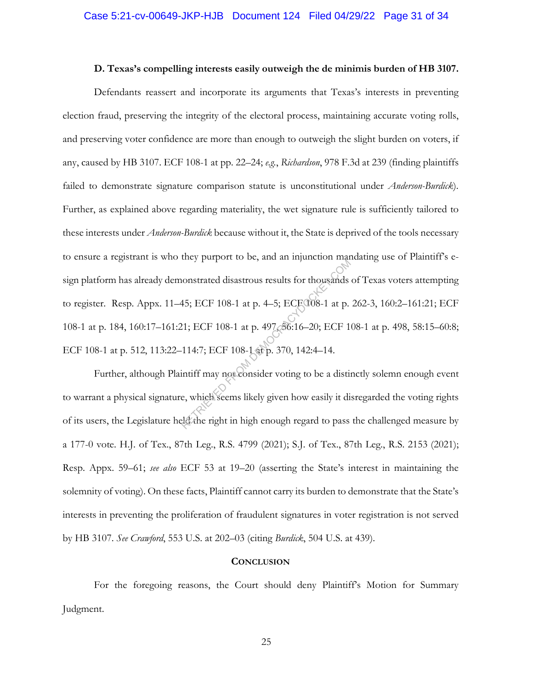#### **D. Texas's compelling interests easily outweigh the de minimis burden of HB 3107.**

Defendants reassert and incorporate its arguments that Texas's interests in preventing election fraud, preserving the integrity of the electoral process, maintaining accurate voting rolls, and preserving voter confidence are more than enough to outweigh the slight burden on voters, if any, caused by HB 3107. ECF 108-1 at pp. 22–24; *e.g.*, *Richardson*, 978 F.3d at 239 (finding plaintiffs failed to demonstrate signature comparison statute is unconstitutional under *Anderson-Burdick*). Further, as explained above regarding materiality, the wet signature rule is sufficiently tailored to these interests under *Anderson-Burdick* because without it, the State is deprived of the tools necessary to ensure a registrant is who they purport to be, and an injunction mandating use of Plaintiff's esign platform has already demonstrated disastrous results for thousands of Texas voters attempting to register. Resp. Appx. 11–45; ECF 108-1 at p. 4–5; ECF 108-1 at p. 262-3, 160:2–161:21; ECF 108-1 at p. 184, 160:17–161:21; ECF 108-1 at p. 497, 56:16–20; ECF 108-1 at p. 498, 58:15–60:8; ECF 108-1 at p. 512, 113:22–114:7; ECF 108-1 at p. 370, 142:4–14. Reflected disastrous results for thousands<br>45; ECF 108-1 at p. 4–5; ECF 008-1 at p.<br>21; ECF 108-1 at p. 497 36:16–20; ECF 1<br>114:7; ECF 108-1 at p. 370, 142:4–14.<br>intiff may not consider voting to be a distince, which seems

Further, although Plaintiff may not consider voting to be a distinctly solemn enough event to warrant a physical signature, which seems likely given how easily it disregarded the voting rights of its users, the Legislature held the right in high enough regard to pass the challenged measure by a 177-0 vote. H.J. of Tex., 87th Leg., R.S. 4799 (2021); S.J. of Tex., 87th Leg., R.S. 2153 (2021); Resp. Appx. 59–61; *see also* ECF 53 at 19–20 (asserting the State's interest in maintaining the solemnity of voting). On these facts, Plaintiff cannot carry its burden to demonstrate that the State's interests in preventing the proliferation of fraudulent signatures in voter registration is not served by HB 3107. *See Crawford*, 553 U.S. at 202–03 (citing *Burdick*, 504 U.S. at 439).

#### **CONCLUSION**

For the foregoing reasons, the Court should deny Plaintiff's Motion for Summary Judgment.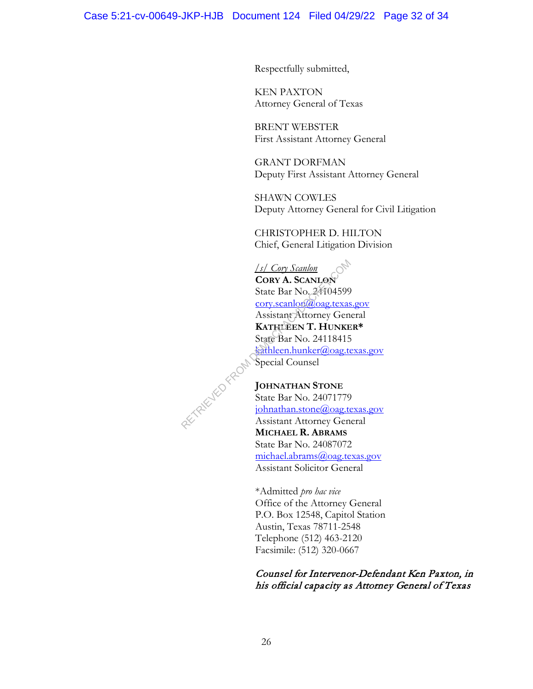Respectfully submitted,

KEN PAXTON Attorney General of Texas

BRENT WEBSTER First Assistant Attorney General

GRANT DORFMAN Deputy First Assistant Attorney General

SHAWN COWLES Deputy Attorney General for Civil Litigation

CHRISTOPHER D. HILTON Chief, General Litigation Division

*/s/ Cory Scanlon*  **CORY A. SCANLON** State Bar No. 24104599 cory.scanlon@oag.texas.gov Assistant Attorney General **KATHLEEN T. HUNKER\***  State Bar No. 24118415 kathleen.hunker@oag.texas.gov Special Counsel

**JOHNATHAN STONE** State Bar No. 24071779 johnathan.stone@oag.texas.gov Assistant Attorney General **MICHAEL R. ABRAMS** State Bar No. 24087072 michael.abrams@oag.texas.gov Assistant Solicitor General RETRIEVED FROM

> \*Admitted *pro hac vice* Office of the Attorney General P.O. Box 12548, Capitol Station Austin, Texas 78711-2548 Telephone (512) 463-2120 Facsimile: (512) 320-0667

## Counsel for Intervenor-Defendant Ken Paxton, in his official capacity as Attorney General of Texas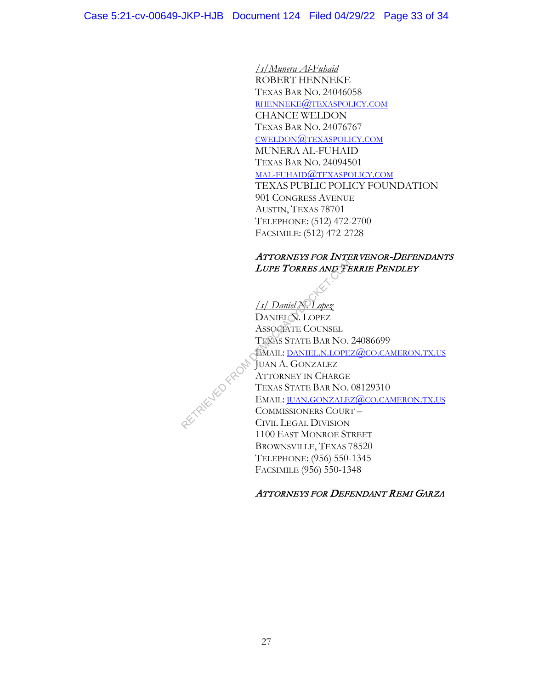*/s/Munera Al-Fuhaid* ROBERT HENNEKE TEXAS BAR NO. 24046058 RHENNEKE@TEXASPOLICY.COM CHANCE WELDON TEXAS BAR NO. 24076767 CWELDON@TEXASPOLICY.COM MUNERA AL-FUHAID TEXAS BAR NO. 24094501 MAL-FUHAID@TEXASPOLICY.COM TEXAS PUBLIC POLICY FOUNDATION 901 CONGRESS AVENUE AUSTIN, TEXAS 78701 TELEPHONE: (512) 472-2700 FACSIMILE: (512) 472-2728

## ATTORNEYS FOR INTERVENOR-DEFENDANTS LUPE TORRES AND TERRIE PENDLEY

*/s/ Daniel N. Lopez* DANIEL N. LOPEZ ASSOCIATE COUNSEL TEXAS STATE BAR NO. 24086699 EMAIL: DANIEL.N.LOPEZ@CO.CAMERON.TX.US JUAN A. GONZALEZ ATTORNEY IN CHARGE TEXAS STATE BAR NO. 08129310 EMAIL: JUAN.GONZALEZ@CO.CAMERON.TX.US COMMISSIONERS COURT – CIVIL LEGAL DIVISION 1100 EAST MONROE STREET BROWNSVILLE, TEXAS 78520 TELEPHONE: (956) 550-1345 FACSIMILE (956) 550-1348 RETRIEVED FROM

## ATTORNEYS FOR DEFENDANT REMI GARZA